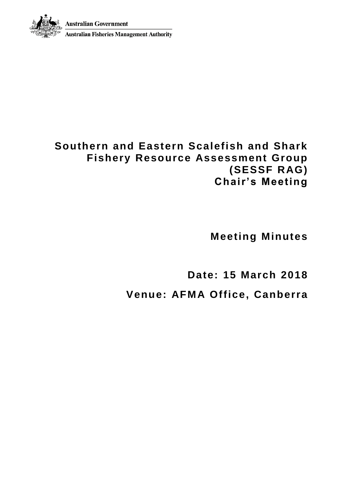**Australian Government** 



**Australian Fisheries Management Authority** 

# **Southern and Eastern Scalefish and Shark Fishery Resource Assessment Group (SESSF RAG) Chair's Meeting**

**Meeting Minutes**

**Date: 15 March 2018**

**Venue: AFMA Office, Canberra**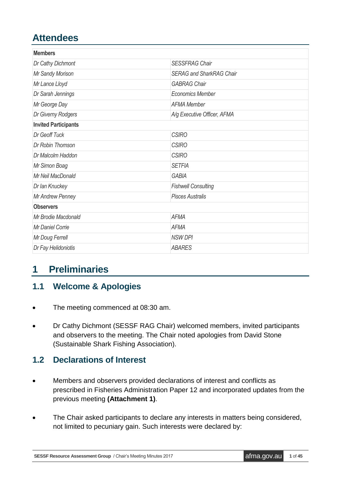# **Attendees**

| <b>Members</b>              |                                 |
|-----------------------------|---------------------------------|
| Dr Cathy Dichmont           | <b>SESSFRAG Chair</b>           |
| Mr Sandy Morison            | <b>SERAG and SharkRAG Chair</b> |
| Mr Lance Lloyd              | <b>GABRAG Chair</b>             |
| Dr Sarah Jennings           | <b>Economics Member</b>         |
| Mr George Day               | <b>AFMA Member</b>              |
| Dr Giverny Rodgers          | A/g Executive Officer, AFMA     |
| <b>Invited Participants</b> |                                 |
| Dr Geoff Tuck               | <b>CSIRO</b>                    |
| Dr Robin Thomson            | <b>CSIRO</b>                    |
| Dr Malcolm Haddon           | <b>CSIRO</b>                    |
| Mr Simon Boag               | <b>SETFIA</b>                   |
| Mr Neil MacDonald           | <b>GABIA</b>                    |
| Dr Ian Knuckey              | <b>Fishwell Consulting</b>      |
| Mr Andrew Penney            | <b>Pisces Australis</b>         |
| <b>Observers</b>            |                                 |
| Mr Brodie Macdonald         | <b>AFMA</b>                     |
| <b>Mr Daniel Corrie</b>     | <b>AFMA</b>                     |
| Mr Doug Ferrell             | <b>NSW DPI</b>                  |
| Dr Fay Helidoniotis         | <b>ABARES</b>                   |

# **1 Preliminaries**

## **1.1 Welcome & Apologies**

- The meeting commenced at 08:30 am.
- Dr Cathy Dichmont (SESSF RAG Chair) welcomed members, invited participants and observers to the meeting. The Chair noted apologies from David Stone (Sustainable Shark Fishing Association).

## **1.2 Declarations of Interest**

- Members and observers provided declarations of interest and conflicts as prescribed in Fisheries Administration Paper 12 and incorporated updates from the previous meeting **(Attachment 1)**.
- The Chair asked participants to declare any interests in matters being considered, not limited to pecuniary gain. Such interests were declared by: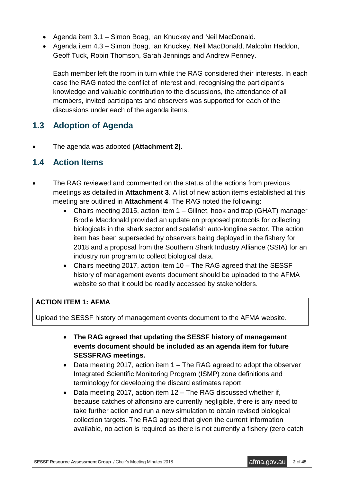- Agenda item 3.1 Simon Boag, Ian Knuckey and Neil MacDonald.
- Agenda item 4.3 Simon Boag, Ian Knuckey, Neil MacDonald, Malcolm Haddon, Geoff Tuck, Robin Thomson, Sarah Jennings and Andrew Penney.

Each member left the room in turn while the RAG considered their interests. In each case the RAG noted the conflict of interest and, recognising the participant's knowledge and valuable contribution to the discussions, the attendance of all members, invited participants and observers was supported for each of the discussions under each of the agenda items.

### **1.3 Adoption of Agenda**

The agenda was adopted **(Attachment 2)**.

### **1.4 Action Items**

- The RAG reviewed and commented on the status of the actions from previous meetings as detailed in **Attachment 3**. A list of new action items established at this meeting are outlined in **Attachment 4**. The RAG noted the following:
	- Chairs meeting 2015, action item 1 Gillnet, hook and trap (GHAT) manager Brodie Macdonald provided an update on proposed protocols for collecting biologicals in the shark sector and scalefish auto-longline sector. The action item has been superseded by observers being deployed in the fishery for 2018 and a proposal from the Southern Shark Industry Alliance (SSIA) for an industry run program to collect biological data.
	- Chairs meeting 2017, action item 10 The RAG agreed that the SESSF history of management events document should be uploaded to the AFMA website so that it could be readily accessed by stakeholders.

#### **ACTION ITEM 1: AFMA**

Upload the SESSF history of management events document to the AFMA website.

- **The RAG agreed that updating the SESSF history of management events document should be included as an agenda item for future SESSFRAG meetings.**
- Data meeting 2017, action item 1 The RAG agreed to adopt the observer Integrated Scientific Monitoring Program (ISMP) zone definitions and terminology for developing the discard estimates report.
- Data meeting 2017, action item 12 The RAG discussed whether if, because catches of alfonsino are currently negligible, there is any need to take further action and run a new simulation to obtain revised biological collection targets. The RAG agreed that given the current information available, no action is required as there is not currently a fishery (zero catch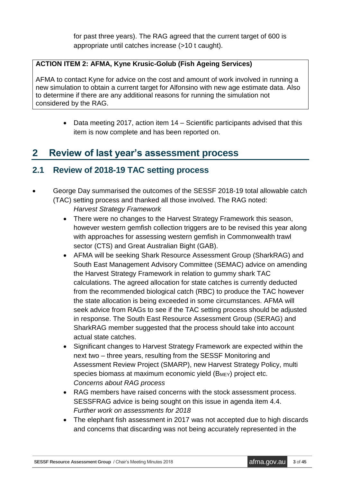for past three years). The RAG agreed that the current target of 600 is appropriate until catches increase (>10 t caught).

#### **ACTION ITEM 2: AFMA, Kyne Krusic-Golub (Fish Ageing Services)**

AFMA to contact Kyne for advice on the cost and amount of work involved in running a new simulation to obtain a current target for Alfonsino with new age estimate data. Also to determine if there are any additional reasons for running the simulation not considered by the RAG.

> • Data meeting 2017, action item 14 – Scientific participants advised that this item is now complete and has been reported on.

## **2 Review of last year's assessment process**

## **2.1 Review of 2018-19 TAC setting process**

- George Day summarised the outcomes of the SESSF 2018-19 total allowable catch (TAC) setting process and thanked all those involved. The RAG noted:
	- *Harvest Strategy Framework*
	- There were no changes to the Harvest Strategy Framework this season, however western gemfish collection triggers are to be revised this year along with approaches for assessing western gemfish in Commonwealth trawl sector (CTS) and Great Australian Bight (GAB).
	- AFMA will be seeking Shark Resource Assessment Group (SharkRAG) and South East Management Advisory Committee (SEMAC) advice on amending the Harvest Strategy Framework in relation to gummy shark TAC calculations. The agreed allocation for state catches is currently deducted from the recommended biological catch (RBC) to produce the TAC however the state allocation is being exceeded in some circumstances. AFMA will seek advice from RAGs to see if the TAC setting process should be adjusted in response. The South East Resource Assessment Group (SERAG) and SharkRAG member suggested that the process should take into account actual state catches.
	- Significant changes to Harvest Strategy Framework are expected within the next two – three years, resulting from the SESSF Monitoring and Assessment Review Project (SMARP), new Harvest Strategy Policy, multi species biomass at maximum economic yield (BMEY) project etc. *Concerns about RAG process*
	- RAG members have raised concerns with the stock assessment process. SESSFRAG advice is being sought on this issue in agenda item 4.4. *Further work on assessments for 2018*
	- The elephant fish assessment in 2017 was not accepted due to high discards and concerns that discarding was not being accurately represented in the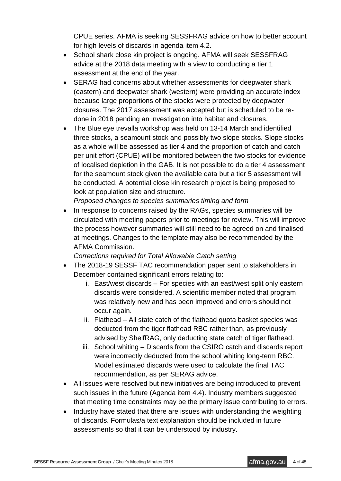CPUE series. AFMA is seeking SESSFRAG advice on how to better account for high levels of discards in agenda item 4.2.

- School shark close kin project is ongoing. AFMA will seek SESSFRAG advice at the 2018 data meeting with a view to conducting a tier 1 assessment at the end of the year.
- SERAG had concerns about whether assessments for deepwater shark (eastern) and deepwater shark (western) were providing an accurate index because large proportions of the stocks were protected by deepwater closures. The 2017 assessment was accepted but is scheduled to be redone in 2018 pending an investigation into habitat and closures.
- The Blue eye trevalla workshop was held on 13-14 March and identified three stocks, a seamount stock and possibly two slope stocks. Slope stocks as a whole will be assessed as tier 4 and the proportion of catch and catch per unit effort (CPUE) will be monitored between the two stocks for evidence of localised depletion in the GAB. It is not possible to do a tier 4 assessment for the seamount stock given the available data but a tier 5 assessment will be conducted. A potential close kin research project is being proposed to look at population size and structure.

*Proposed changes to species summaries timing and form*

 In response to concerns raised by the RAGs, species summaries will be circulated with meeting papers prior to meetings for review. This will improve the process however summaries will still need to be agreed on and finalised at meetings. Changes to the template may also be recommended by the AFMA Commission.

*Corrections required for Total Allowable Catch setting*

- The 2018-19 SESSF TAC recommendation paper sent to stakeholders in December contained significant errors relating to:
	- i. East/west discards For species with an east/west split only eastern discards were considered. A scientific member noted that program was relatively new and has been improved and errors should not occur again.
	- ii. Flathead All state catch of the flathead quota basket species was deducted from the tiger flathead RBC rather than, as previously advised by ShelfRAG, only deducting state catch of tiger flathead.
	- iii. School whiting Discards from the CSIRO catch and discards report were incorrectly deducted from the school whiting long-term RBC. Model estimated discards were used to calculate the final TAC recommendation, as per SERAG advice.
- All issues were resolved but new initiatives are being introduced to prevent such issues in the future (Agenda item 4.4). Industry members suggested that meeting time constraints may be the primary issue contributing to errors.
- Industry have stated that there are issues with understanding the weighting of discards. Formulas/a text explanation should be included in future assessments so that it can be understood by industry.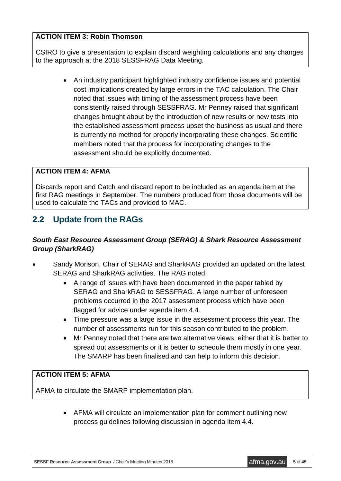#### **ACTION ITEM 3: Robin Thomson**

CSIRO to give a presentation to explain discard weighting calculations and any changes to the approach at the 2018 SESSFRAG Data Meeting.

> An industry participant highlighted industry confidence issues and potential cost implications created by large errors in the TAC calculation. The Chair noted that issues with timing of the assessment process have been consistently raised through SESSFRAG. Mr Penney raised that significant changes brought about by the introduction of new results or new tests into the established assessment process upset the business as usual and there is currently no method for properly incorporating these changes. Scientific members noted that the process for incorporating changes to the assessment should be explicitly documented.

#### **ACTION ITEM 4: AFMA**

Discards report and Catch and discard report to be included as an agenda item at the first RAG meetings in September. The numbers produced from those documents will be used to calculate the TACs and provided to MAC.

## **2.2 Update from the RAGs**

#### *South East Resource Assessment Group (SERAG) & Shark Resource Assessment Group (SharkRAG)*

- Sandy Morison, Chair of SERAG and SharkRAG provided an updated on the latest SERAG and SharkRAG activities. The RAG noted:
	- A range of issues with have been documented in the paper tabled by SERAG and SharkRAG to SESSFRAG. A large number of unforeseen problems occurred in the 2017 assessment process which have been flagged for advice under agenda item 4.4.
	- Time pressure was a large issue in the assessment process this year. The number of assessments run for this season contributed to the problem.
	- Mr Penney noted that there are two alternative views: either that it is better to spread out assessments or it is better to schedule them mostly in one year. The SMARP has been finalised and can help to inform this decision.

#### **ACTION ITEM 5: AFMA**

AFMA to circulate the SMARP implementation plan.

 AFMA will circulate an implementation plan for comment outlining new process guidelines following discussion in agenda item 4.4.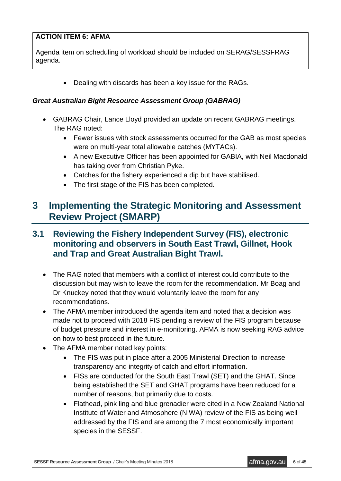#### **ACTION ITEM 6: AFMA**

Agenda item on scheduling of workload should be included on SERAG/SESSFRAG agenda.

• Dealing with discards has been a key issue for the RAGs.

#### *Great Australian Bight Resource Assessment Group (GABRAG)*

- GABRAG Chair, Lance Lloyd provided an update on recent GABRAG meetings. The RAG noted:
	- Fewer issues with stock assessments occurred for the GAB as most species were on multi-year total allowable catches (MYTACs).
	- A new Executive Officer has been appointed for GABIA, with Neil Macdonald has taking over from Christian Pyke.
	- Catches for the fishery experienced a dip but have stabilised.
	- The first stage of the FIS has been completed.

## **3 Implementing the Strategic Monitoring and Assessment Review Project (SMARP)**

### **3.1 Reviewing the Fishery Independent Survey (FIS), electronic monitoring and observers in South East Trawl, Gillnet, Hook and Trap and Great Australian Bight Trawl.**

- The RAG noted that members with a conflict of interest could contribute to the discussion but may wish to leave the room for the recommendation. Mr Boag and Dr Knuckey noted that they would voluntarily leave the room for any recommendations.
- The AFMA member introduced the agenda item and noted that a decision was made not to proceed with 2018 FIS pending a review of the FIS program because of budget pressure and interest in e-monitoring. AFMA is now seeking RAG advice on how to best proceed in the future.
- The AFMA member noted key points:
	- The FIS was put in place after a 2005 Ministerial Direction to increase transparency and integrity of catch and effort information.
	- FISs are conducted for the South East Trawl (SET) and the GHAT. Since being established the SET and GHAT programs have been reduced for a number of reasons, but primarily due to costs.
	- Flathead, pink ling and blue grenadier were cited in a New Zealand National Institute of Water and Atmosphere (NIWA) review of the FIS as being well addressed by the FIS and are among the 7 most economically important species in the SESSF.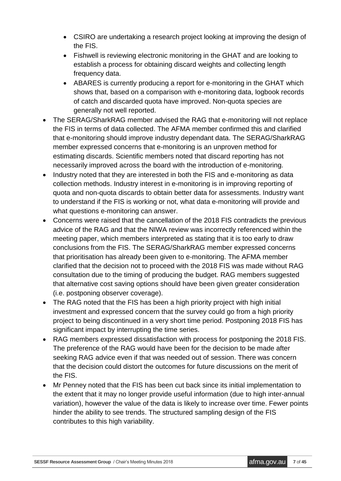- CSIRO are undertaking a research project looking at improving the design of the FIS.
- Fishwell is reviewing electronic monitoring in the GHAT and are looking to establish a process for obtaining discard weights and collecting length frequency data.
- ABARES is currently producing a report for e-monitoring in the GHAT which shows that, based on a comparison with e-monitoring data, logbook records of catch and discarded quota have improved. Non-quota species are generally not well reported.
- The SERAG/SharkRAG member advised the RAG that e-monitoring will not replace the FIS in terms of data collected. The AFMA member confirmed this and clarified that e-monitoring should improve industry dependant data. The SERAG/SharkRAG member expressed concerns that e-monitoring is an unproven method for estimating discards. Scientific members noted that discard reporting has not necessarily improved across the board with the introduction of e-monitoring.
- Industry noted that they are interested in both the FIS and e-monitoring as data collection methods. Industry interest in e-monitoring is in improving reporting of quota and non-quota discards to obtain better data for assessments. Industry want to understand if the FIS is working or not, what data e-monitoring will provide and what questions e-monitoring can answer.
- Concerns were raised that the cancellation of the 2018 FIS contradicts the previous advice of the RAG and that the NIWA review was incorrectly referenced within the meeting paper, which members interpreted as stating that it is too early to draw conclusions from the FIS. The SERAG/SharkRAG member expressed concerns that prioritisation has already been given to e-monitoring. The AFMA member clarified that the decision not to proceed with the 2018 FIS was made without RAG consultation due to the timing of producing the budget. RAG members suggested that alternative cost saving options should have been given greater consideration (i.e. postponing observer coverage).
- The RAG noted that the FIS has been a high priority project with high initial investment and expressed concern that the survey could go from a high priority project to being discontinued in a very short time period. Postponing 2018 FIS has significant impact by interrupting the time series.
- RAG members expressed dissatisfaction with process for postponing the 2018 FIS. The preference of the RAG would have been for the decision to be made after seeking RAG advice even if that was needed out of session. There was concern that the decision could distort the outcomes for future discussions on the merit of the FIS.
- Mr Penney noted that the FIS has been cut back since its initial implementation to the extent that it may no longer provide useful information (due to high inter-annual variation), however the value of the data is likely to increase over time. Fewer points hinder the ability to see trends. The structured sampling design of the FIS contributes to this high variability.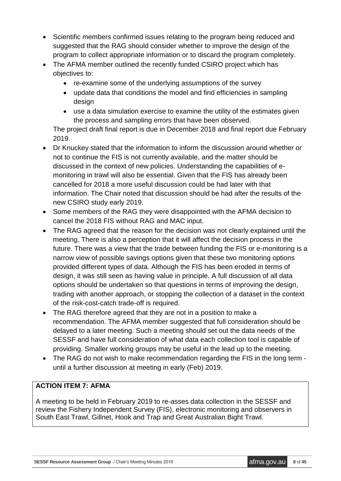- Scientific members confirmed issues relating to the program being reduced and suggested that the RAG should consider whether to improve the design of the program to collect appropriate information or to discard the program completely.
- The AFMA member outlined the recently funded CSIRO project which has objectives to:
	- re-examine some of the underlying assumptions of the survey
	- update data that conditions the model and find efficiencies in sampling design
	- use a data simulation exercise to examine the utility of the estimates given the process and sampling errors that have been observed.

The project draft final report is due in December 2018 and final report due February 2019.

- Dr Knuckey stated that the information to inform the discussion around whether or not to continue the FIS is not currently available, and the matter should be discussed in the context of new policies. Understanding the capabilities of emonitoring in trawl will also be essential. Given that the FIS has already been cancelled for 2018 a more useful discussion could be had later with that information. The Chair noted that discussion should be had after the results of the new CSIRO study early 2019.
- Some members of the RAG they were disappointed with the AFMA decision to cancel the 2018 FIS without RAG and MAC input.
- The RAG agreed that the reason for the decision was not clearly explained until the meeting. There is also a perception that it will affect the decision process in the future. There was a view that the trade between funding the FIS or e-monitoring is a narrow view of possible savings options given that these two monitoring options provided different types of data. Although the FIS has been eroded in terms of design, it was still seen as having value in principle. A full discussion of all data options should be undertaken so that questions in terms of improving the design, trading with another approach, or stopping the collection of a dataset in the context of the risk-cost-catch trade-off is required.
- The RAG therefore agreed that they are not in a position to make a recommendation. The AFMA member suggested that full consideration should be delayed to a later meeting. Such a meeting should set out the data needs of the SESSF and have full consideration of what data each collection tool is capable of providing. Smaller working groups may be useful in the lead up to the meeting.
- The RAG do not wish to make recommendation regarding the FIS in the long term until a further discussion at meeting in early (Feb) 2019.

#### **ACTION ITEM 7: AFMA**

A meeting to be held in February 2019 to re-asses data collection in the SESSF and review the Fishery Independent Survey (FIS), electronic monitoring and observers in South East Trawl, Gillnet, Hook and Trap and Great Australian Bight Trawl.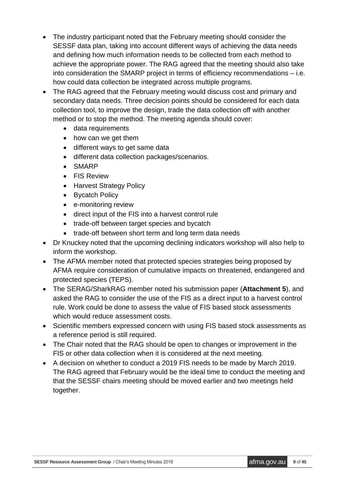- The industry participant noted that the February meeting should consider the SESSF data plan, taking into account different ways of achieving the data needs and defining how much information needs to be collected from each method to achieve the appropriate power. The RAG agreed that the meeting should also take into consideration the SMARP project in terms of efficiency recommendations – i.e. how could data collection be integrated across multiple programs.
- The RAG agreed that the February meeting would discuss cost and primary and secondary data needs. Three decision points should be considered for each data collection tool, to improve the design, trade the data collection off with another method or to stop the method. The meeting agenda should cover:
	- data requirements
	- how can we get them
	- different ways to get same data
	- different data collection packages/scenarios.
	- SMARP
	- FIS Review
	- Harvest Strategy Policy
	- Bycatch Policy
	- e-monitoring review
	- direct input of the FIS into a harvest control rule
	- trade-off between target species and bycatch
	- trade-off between short term and long term data needs
- Dr Knuckey noted that the upcoming declining indicators workshop will also help to inform the workshop.
- The AFMA member noted that protected species strategies being proposed by AFMA require consideration of cumulative impacts on threatened, endangered and protected species (TEPS).
- The SERAG/SharkRAG member noted his submission paper (**Attachment 5**), and asked the RAG to consider the use of the FIS as a direct input to a harvest control rule. Work could be done to assess the value of FIS based stock assessments which would reduce assessment costs.
- Scientific members expressed concern with using FIS based stock assessments as a reference period is still required.
- The Chair noted that the RAG should be open to changes or improvement in the FIS or other data collection when it is considered at the next meeting.
- A decision on whether to conduct a 2019 FIS needs to be made by March 2019. The RAG agreed that February would be the ideal time to conduct the meeting and that the SESSF chairs meeting should be moved earlier and two meetings held together.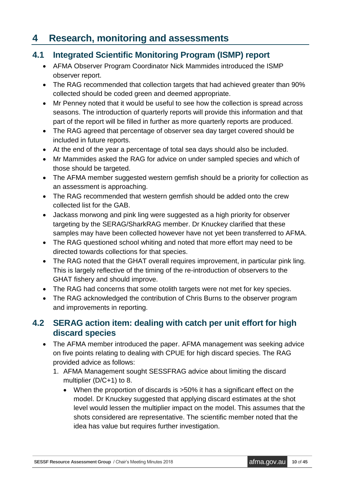# **4 Research, monitoring and assessments**

### **4.1 Integrated Scientific Monitoring Program (ISMP) report**

- AFMA Observer Program Coordinator Nick Mammides introduced the ISMP observer report.
- The RAG recommended that collection targets that had achieved greater than 90% collected should be coded green and deemed appropriate.
- Mr Penney noted that it would be useful to see how the collection is spread across seasons. The introduction of quarterly reports will provide this information and that part of the report will be filled in further as more quarterly reports are produced.
- The RAG agreed that percentage of observer sea day target covered should be included in future reports.
- At the end of the year a percentage of total sea days should also be included.
- Mr Mammides asked the RAG for advice on under sampled species and which of those should be targeted.
- The AFMA member suggested western gemfish should be a priority for collection as an assessment is approaching.
- The RAG recommended that western gemfish should be added onto the crew collected list for the GAB.
- Jackass morwong and pink ling were suggested as a high priority for observer targeting by the SERAG/SharkRAG member. Dr Knuckey clarified that these samples may have been collected however have not yet been transferred to AFMA.
- The RAG questioned school whiting and noted that more effort may need to be directed towards collections for that species.
- The RAG noted that the GHAT overall requires improvement, in particular pink ling. This is largely reflective of the timing of the re-introduction of observers to the GHAT fishery and should improve.
- The RAG had concerns that some otolith targets were not met for key species.
- The RAG acknowledged the contribution of Chris Burns to the observer program and improvements in reporting.

### **4.2 SERAG action item: dealing with catch per unit effort for high discard species**

- The AFMA member introduced the paper. AFMA management was seeking advice on five points relating to dealing with CPUE for high discard species. The RAG provided advice as follows:
	- 1. AFMA Management sought SESSFRAG advice about limiting the discard multiplier (D/C+1) to 8.
		- When the proportion of discards is >50% it has a significant effect on the model. Dr Knuckey suggested that applying discard estimates at the shot level would lessen the multiplier impact on the model. This assumes that the shots considered are representative. The scientific member noted that the idea has value but requires further investigation.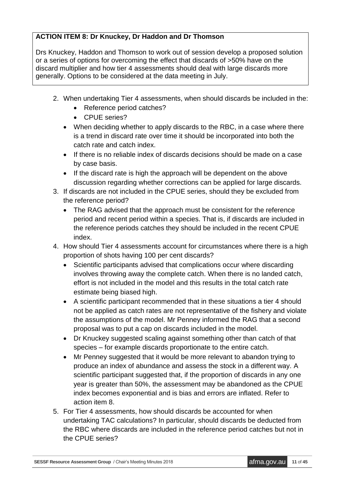#### **ACTION ITEM 8: Dr Knuckey, Dr Haddon and Dr Thomson**

Drs Knuckey, Haddon and Thomson to work out of session develop a proposed solution or a series of options for overcoming the effect that discards of >50% have on the discard multiplier and how tier 4 assessments should deal with large discards more generally. Options to be considered at the data meeting in July.

- 2. When undertaking Tier 4 assessments, when should discards be included in the:
	- Reference period catches?
	- CPUE series?
	- When deciding whether to apply discards to the RBC, in a case where there is a trend in discard rate over time it should be incorporated into both the catch rate and catch index.
	- If there is no reliable index of discards decisions should be made on a case by case basis.
	- If the discard rate is high the approach will be dependent on the above discussion regarding whether corrections can be applied for large discards.
- 3. If discards are not included in the CPUE series, should they be excluded from the reference period?
	- The RAG advised that the approach must be consistent for the reference period and recent period within a species. That is, if discards are included in the reference periods catches they should be included in the recent CPUE index.
- 4. How should Tier 4 assessments account for circumstances where there is a high proportion of shots having 100 per cent discards?
	- Scientific participants advised that complications occur where discarding involves throwing away the complete catch. When there is no landed catch, effort is not included in the model and this results in the total catch rate estimate being biased high.
	- A scientific participant recommended that in these situations a tier 4 should not be applied as catch rates are not representative of the fishery and violate the assumptions of the model. Mr Penney informed the RAG that a second proposal was to put a cap on discards included in the model.
	- Dr Knuckey suggested scaling against something other than catch of that species – for example discards proportionate to the entire catch.
	- Mr Penney suggested that it would be more relevant to abandon trying to produce an index of abundance and assess the stock in a different way. A scientific participant suggested that, if the proportion of discards in any one year is greater than 50%, the assessment may be abandoned as the CPUE index becomes exponential and is bias and errors are inflated. Refer to action item 8.
- 5. For Tier 4 assessments, how should discards be accounted for when undertaking TAC calculations? In particular, should discards be deducted from the RBC where discards are included in the reference period catches but not in the CPUE series?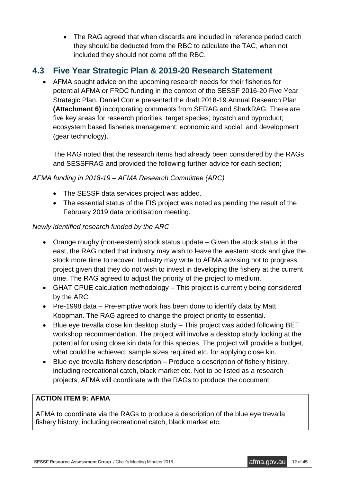• The RAG agreed that when discards are included in reference period catch they should be deducted from the RBC to calculate the TAC, when not included they should not come off the RBC.

## **4.3 Five Year Strategic Plan & 2019-20 Research Statement**

 AFMA sought advice on the upcoming research needs for their fisheries for potential AFMA or FRDC funding in the context of the SESSF 2016-20 Five Year Strategic Plan. Daniel Corrie presented the draft 2018-19 Annual Research Plan **(Attachment 6)** incorporating comments from SERAG and SharkRAG. There are five key areas for research priorities: target species; bycatch and byproduct; ecosystem based fisheries management; economic and social; and development (gear technology).

The RAG noted that the research items had already been considered by the RAGs and SESSFRAG and provided the following further advice for each section;

### *AFMA funding in 2018-19 – AFMA Research Committee (ARC)*

- The SESSF data services project was added.
- The essential status of the FIS project was noted as pending the result of the February 2019 data prioritisation meeting.

### *Newly identified research funded by the ARC*

- Orange roughy (non-eastern) stock status update Given the stock status in the east, the RAG noted that industry may wish to leave the western stock and give the stock more time to recover. Industry may write to AFMA advising not to progress project given that they do not wish to invest in developing the fishery at the current time. The RAG agreed to adjust the priority of the project to medium.
- GHAT CPUE calculation methodology This project is currently being considered by the ARC.
- Pre-1998 data Pre-emptive work has been done to identify data by Matt Koopman. The RAG agreed to change the project priority to essential.
- Blue eye trevalla close kin desktop study This project was added following BET workshop recommendation. The project will involve a desktop study looking at the potential for using close kin data for this species. The project will provide a budget, what could be achieved, sample sizes required etc. for applying close kin.
- Blue eye trevalla fishery description Produce a description of fishery history, including recreational catch, black market etc. Not to be listed as a research projects, AFMA will coordinate with the RAGs to produce the document.

### **ACTION ITEM 9: AFMA**

AFMA to coordinate via the RAGs to produce a description of the blue eye trevalla fishery history, including recreational catch, black market etc.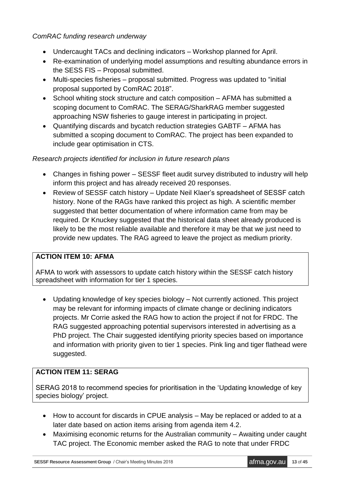#### *ComRAC funding research underway*

- Undercaught TACs and declining indicators Workshop planned for April.
- Re-examination of underlying model assumptions and resulting abundance errors in the SESS FIS – Proposal submitted.
- Multi-species fisheries proposal submitted. Progress was updated to "initial proposal supported by ComRAC 2018".
- School whiting stock structure and catch composition AFMA has submitted a scoping document to ComRAC. The SERAG/SharkRAG member suggested approaching NSW fisheries to gauge interest in participating in project.
- Quantifying discards and bycatch reduction strategies GABTF AFMA has submitted a scoping document to ComRAC. The project has been expanded to include gear optimisation in CTS.

#### *Research projects identified for inclusion in future research plans*

- Changes in fishing power SESSF fleet audit survey distributed to industry will help inform this project and has already received 20 responses.
- Review of SESSF catch history Update Neil Klaer's spreadsheet of SESSF catch history. None of the RAGs have ranked this project as high. A scientific member suggested that better documentation of where information came from may be required. Dr Knuckey suggested that the historical data sheet already produced is likely to be the most reliable available and therefore it may be that we just need to provide new updates. The RAG agreed to leave the project as medium priority.

#### **ACTION ITEM 10: AFMA**

AFMA to work with assessors to update catch history within the SESSF catch history spreadsheet with information for tier 1 species.

 Updating knowledge of key species biology – Not currently actioned. This project may be relevant for informing impacts of climate change or declining indicators projects. Mr Corrie asked the RAG how to action the project if not for FRDC. The RAG suggested approaching potential supervisors interested in advertising as a PhD project. The Chair suggested identifying priority species based on importance and information with priority given to tier 1 species. Pink ling and tiger flathead were suggested.

#### **ACTION ITEM 11: SERAG**

SERAG 2018 to recommend species for prioritisation in the 'Updating knowledge of key species biology' project.

- How to account for discards in CPUE analysis May be replaced or added to at a later date based on action items arising from agenda item 4.2.
- Maximising economic returns for the Australian community Awaiting under caught TAC project. The Economic member asked the RAG to note that under FRDC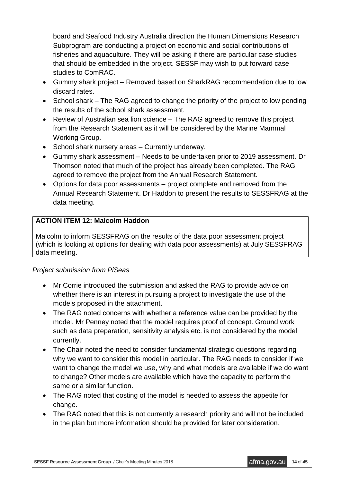board and Seafood Industry Australia direction the Human Dimensions Research Subprogram are conducting a project on economic and social contributions of fisheries and aquaculture. They will be asking if there are particular case studies that should be embedded in the project. SESSF may wish to put forward case studies to ComRAC.

- Gummy shark project Removed based on SharkRAG recommendation due to low discard rates.
- School shark The RAG agreed to change the priority of the project to low pending the results of the school shark assessment.
- Review of Australian sea lion science The RAG agreed to remove this project from the Research Statement as it will be considered by the Marine Mammal Working Group.
- School shark nursery areas Currently underway.
- Gummy shark assessment Needs to be undertaken prior to 2019 assessment. Dr Thomson noted that much of the project has already been completed. The RAG agreed to remove the project from the Annual Research Statement.
- Options for data poor assessments project complete and removed from the Annual Research Statement. Dr Haddon to present the results to SESSFRAG at the data meeting.

#### **ACTION ITEM 12: Malcolm Haddon**

Malcolm to inform SESSFRAG on the results of the data poor assessment project (which is looking at options for dealing with data poor assessments) at July SESSFRAG data meeting.

#### *Project submission from PiSeas*

- Mr Corrie introduced the submission and asked the RAG to provide advice on whether there is an interest in pursuing a project to investigate the use of the models proposed in the attachment.
- The RAG noted concerns with whether a reference value can be provided by the model. Mr Penney noted that the model requires proof of concept. Ground work such as data preparation, sensitivity analysis etc. is not considered by the model currently.
- The Chair noted the need to consider fundamental strategic questions regarding why we want to consider this model in particular. The RAG needs to consider if we want to change the model we use, why and what models are available if we do want to change? Other models are available which have the capacity to perform the same or a similar function.
- The RAG noted that costing of the model is needed to assess the appetite for change.
- The RAG noted that this is not currently a research priority and will not be included in the plan but more information should be provided for later consideration.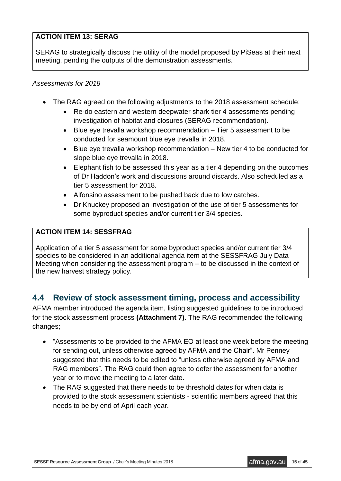#### **ACTION ITEM 13: SERAG**

SERAG to strategically discuss the utility of the model proposed by PiSeas at their next meeting, pending the outputs of the demonstration assessments.

#### *Assessments for 2018*

- The RAG agreed on the following adjustments to the 2018 assessment schedule:
	- Re-do eastern and western deepwater shark tier 4 assessments pending investigation of habitat and closures (SERAG recommendation).
	- Blue eye trevalla workshop recommendation Tier 5 assessment to be conducted for seamount blue eye trevalla in 2018.
	- Blue eye trevalla workshop recommendation New tier 4 to be conducted for slope blue eye trevalla in 2018.
	- Elephant fish to be assessed this year as a tier 4 depending on the outcomes of Dr Haddon's work and discussions around discards. Also scheduled as a tier 5 assessment for 2018.
	- Alfonsino assessment to be pushed back due to low catches.
	- Dr Knuckey proposed an investigation of the use of tier 5 assessments for some byproduct species and/or current tier 3/4 species.

### **ACTION ITEM 14: SESSFRAG**

Application of a tier 5 assessment for some byproduct species and/or current tier 3/4 species to be considered in an additional agenda item at the SESSFRAG July Data Meeting when considering the assessment program – to be discussed in the context of the new harvest strategy policy.

## **4.4 Review of stock assessment timing, process and accessibility**

AFMA member introduced the agenda item, listing suggested guidelines to be introduced for the stock assessment process **(Attachment 7)**. The RAG recommended the following changes;

- "Assessments to be provided to the AFMA EO at least one week before the meeting for sending out, unless otherwise agreed by AFMA and the Chair". Mr Penney suggested that this needs to be edited to "unless otherwise agreed by AFMA and RAG members". The RAG could then agree to defer the assessment for another year or to move the meeting to a later date.
- The RAG suggested that there needs to be threshold dates for when data is provided to the stock assessment scientists - scientific members agreed that this needs to be by end of April each year.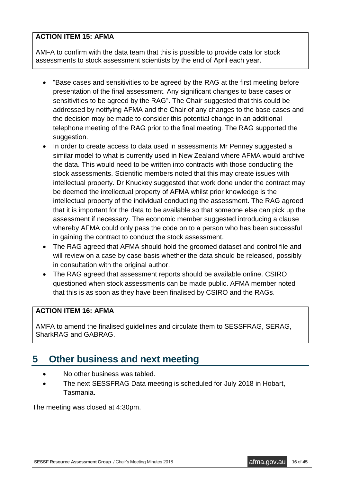#### **ACTION ITEM 15: AFMA**

AMFA to confirm with the data team that this is possible to provide data for stock assessments to stock assessment scientists by the end of April each year.

- "Base cases and sensitivities to be agreed by the RAG at the first meeting before presentation of the final assessment. Any significant changes to base cases or sensitivities to be agreed by the RAG". The Chair suggested that this could be addressed by notifying AFMA and the Chair of any changes to the base cases and the decision may be made to consider this potential change in an additional telephone meeting of the RAG prior to the final meeting. The RAG supported the suggestion.
- In order to create access to data used in assessments Mr Penney suggested a similar model to what is currently used in New Zealand where AFMA would archive the data. This would need to be written into contracts with those conducting the stock assessments. Scientific members noted that this may create issues with intellectual property. Dr Knuckey suggested that work done under the contract may be deemed the intellectual property of AFMA whilst prior knowledge is the intellectual property of the individual conducting the assessment. The RAG agreed that it is important for the data to be available so that someone else can pick up the assessment if necessary. The economic member suggested introducing a clause whereby AFMA could only pass the code on to a person who has been successful in gaining the contract to conduct the stock assessment.
- The RAG agreed that AFMA should hold the groomed dataset and control file and will review on a case by case basis whether the data should be released, possibly in consultation with the original author.
- The RAG agreed that assessment reports should be available online. CSIRO questioned when stock assessments can be made public. AFMA member noted that this is as soon as they have been finalised by CSIRO and the RAGs.

#### **ACTION ITEM 16: AFMA**

AMFA to amend the finalised guidelines and circulate them to SESSFRAG, SERAG, SharkRAG and GABRAG.

## **5 Other business and next meeting**

- No other business was tabled.
- The next SESSFRAG Data meeting is scheduled for July 2018 in Hobart, Tasmania.

The meeting was closed at 4:30pm.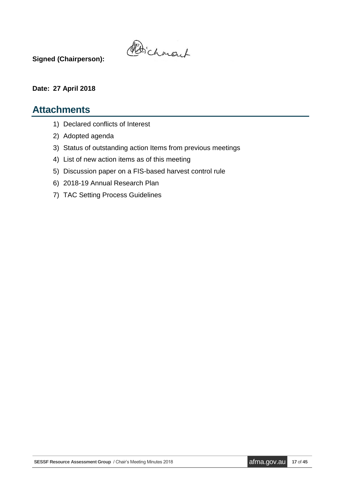Poichmant

**Signed (Chairperson):**

#### **Date: 27 April 2018**

### **Attachments**

- 1) Declared conflicts of Interest
- 2) Adopted agenda
- 3) Status of outstanding action Items from previous meetings
- 4) List of new action items as of this meeting
- 5) Discussion paper on a FIS-based harvest control rule
- 6) 2018-19 Annual Research Plan
- 7) TAC Setting Process Guidelines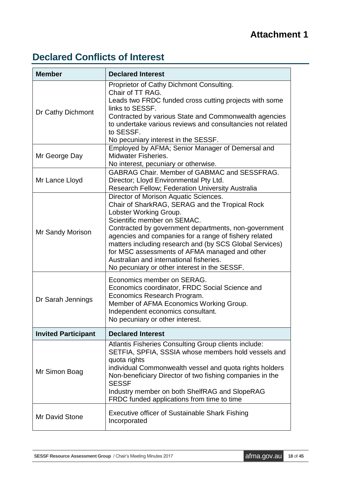# **Attachment 1**

# **Declared Conflicts of Interest**

| <b>Member</b>              | <b>Declared Interest</b>                                                                                                                                                                                                                                                                                                                                                                                                                                                 |
|----------------------------|--------------------------------------------------------------------------------------------------------------------------------------------------------------------------------------------------------------------------------------------------------------------------------------------------------------------------------------------------------------------------------------------------------------------------------------------------------------------------|
| Dr Cathy Dichmont          | Proprietor of Cathy Dichmont Consulting.<br>Chair of TT RAG.<br>Leads two FRDC funded cross cutting projects with some<br>links to SESSF.<br>Contracted by various State and Commonwealth agencies<br>to undertake various reviews and consultancies not related<br>to SESSF.<br>No pecuniary interest in the SESSF.                                                                                                                                                     |
| Mr George Day              | Employed by AFMA; Senior Manager of Demersal and<br><b>Midwater Fisheries.</b><br>No interest, pecuniary or otherwise.                                                                                                                                                                                                                                                                                                                                                   |
| Mr Lance Lloyd             | <b>GABRAG Chair. Member of GABMAC and SESSFRAG.</b><br>Director; Lloyd Environmental Pty Ltd.<br><b>Research Fellow; Federation University Australia</b>                                                                                                                                                                                                                                                                                                                 |
| Mr Sandy Morison           | Director of Morison Aquatic Sciences.<br>Chair of SharkRAG, SERAG and the Tropical Rock<br>Lobster Working Group.<br>Scientific member on SEMAC.<br>Contracted by government departments, non-government<br>agencies and companies for a range of fishery related<br>matters including research and (by SCS Global Services)<br>for MSC assessments of AFMA managed and other<br>Australian and international fisheries.<br>No pecuniary or other interest in the SESSF. |
| Dr Sarah Jennings          | Economics member on SERAG.<br>Economics coordinator, FRDC Social Science and<br>Economics Research Program.<br>Member of AFMA Economics Working Group.<br>Independent economics consultant.<br>No pecuniary or other interest.                                                                                                                                                                                                                                           |
| <b>Invited Participant</b> | <b>Declared Interest</b>                                                                                                                                                                                                                                                                                                                                                                                                                                                 |
| Mr Simon Boag              | Atlantis Fisheries Consulting Group clients include:<br>SETFIA, SPFIA, SSSIA whose members hold vessels and<br>quota rights<br>individual Commonwealth vessel and quota rights holders<br>Non-beneficiary Director of two fishing companies in the<br><b>SESSF</b><br>Industry member on both ShelfRAG and SlopeRAG<br>FRDC funded applications from time to time                                                                                                        |
| Mr David Stone             | Executive officer of Sustainable Shark Fishing<br>Incorporated                                                                                                                                                                                                                                                                                                                                                                                                           |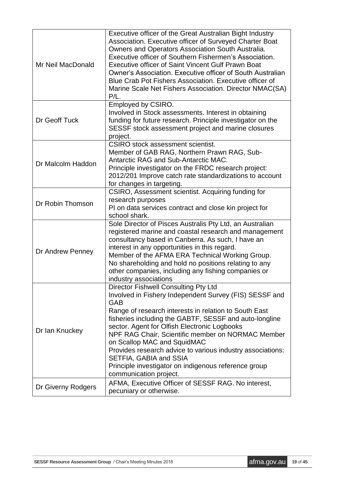| Mr Neil MacDonald  | Executive officer of the Great Australian Bight Industry<br>Association. Executive officer of Surveyed Charter Boat<br>Owners and Operators Association South Australia.<br>Executive officer of Southern Fishermen's Association.<br>Executive officer of Saint Vincent Gulf Prawn Boat<br>Owner's Association. Executive officer of South Australian<br>Blue Crab Pot Fishers Association. Executive officer of<br>Marine Scale Net Fishers Association. Director NMAC(SA)<br>$P/L$ .                                                |
|--------------------|----------------------------------------------------------------------------------------------------------------------------------------------------------------------------------------------------------------------------------------------------------------------------------------------------------------------------------------------------------------------------------------------------------------------------------------------------------------------------------------------------------------------------------------|
| Dr Geoff Tuck      | Employed by CSIRO.<br>Involved in Stock assessments. Interest in obtaining<br>funding for future research. Principle investigator on the<br>SESSF stock assessment project and marine closures<br>project.                                                                                                                                                                                                                                                                                                                             |
| Dr Malcolm Haddon  | <b>CSIRO</b> stock assessment scientist.<br>Member of GAB RAG, Northern Prawn RAG, Sub-<br>Antarctic RAG and Sub-Antarctic MAC.<br>Principle investigator on the FRDC research project:<br>2012/201 Improve catch rate standardizations to account<br>for changes in targeting.                                                                                                                                                                                                                                                        |
| Dr Robin Thomson   | CSIRO, Assessment scientist. Acquiring funding for<br>research purposes<br>PI on data services contract and close kin project for<br>school shark.                                                                                                                                                                                                                                                                                                                                                                                     |
| Dr Andrew Penney   | Sole Director of Pisces Australis Pty Ltd, an Australian<br>registered marine and coastal research and management<br>consultancy based in Canberra. As such, I have an<br>interest in any opportunities in this regard.<br>Member of the AFMA ERA Technical Working Group.<br>No shareholding and hold no positions relating to any<br>other companies, including any fishing companies or<br>industry associations                                                                                                                    |
| Dr Ian Knuckey     | Director Fishwell Consulting Pty Ltd<br>Involved in Fishery Independent Survey (FIS) SESSF and<br>GAB<br>Range of research interests in relation to South East<br>fisheries including the GABTF, SESSF and auto-longline<br>sector. Agent for Olfish Electronic Logbooks<br>NPF RAG Chair, Scientific member on NORMAC Member<br>on Scallop MAC and SquidMAC<br>Provides research advice to various industry associations:<br>SETFIA, GABIA and SSIA<br>Principle investigator on indigenous reference group<br>communication project. |
| Dr Giverny Rodgers | AFMA, Executive Officer of SESSF RAG. No interest,<br>pecuniary or otherwise.                                                                                                                                                                                                                                                                                                                                                                                                                                                          |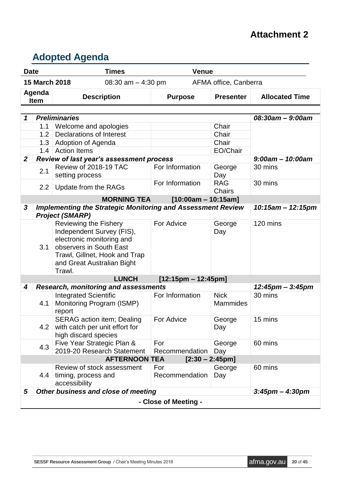## **Attachment 2**

# **Adopted Agenda**

| <b>Date</b>           |               | <b>Times</b>                                                                                                                                                                        | <b>Venue</b>          |                                |                        |
|-----------------------|---------------|-------------------------------------------------------------------------------------------------------------------------------------------------------------------------------------|-----------------------|--------------------------------|------------------------|
|                       | 15 March 2018 | 08:30 am $-$ 4:30 pm                                                                                                                                                                |                       | AFMA office, Canberra          |                        |
| Agenda<br><b>Item</b> |               | <b>Description</b>                                                                                                                                                                  | <b>Purpose</b>        | <b>Presenter</b>               | <b>Allocated Time</b>  |
|                       |               |                                                                                                                                                                                     |                       |                                |                        |
| 1                     |               | <b>Preliminaries</b>                                                                                                                                                                |                       |                                | 08:30am - 9:00am       |
|                       | 1.1           | Welcome and apologies                                                                                                                                                               |                       | Chair                          |                        |
|                       | 1.2           | <b>Declarations of Interest</b>                                                                                                                                                     |                       | Chair                          |                        |
|                       | 1.3           | <b>Adoption of Agenda</b>                                                                                                                                                           |                       | Chair                          |                        |
|                       | 1.4           | <b>Action Items</b>                                                                                                                                                                 |                       | EO/Chair                       |                        |
| $\mathbf{2}$          |               | Review of last year's assessment process                                                                                                                                            |                       |                                | $9:00$ am - 10:00am    |
|                       | 2.1           | Review of 2018-19 TAC<br>setting process                                                                                                                                            | For Information       | George<br>Day                  | 30 mins                |
|                       | 2.2           | Update from the RAGs                                                                                                                                                                | For Information       | <b>RAG</b><br><b>Chairs</b>    | 30 mins                |
|                       |               | <b>MORNING TEA</b>                                                                                                                                                                  | $[10:00am - 10:15am]$ |                                |                        |
| 3                     |               | <b>Implementing the Strategic Monitoring and Assessment Review</b>                                                                                                                  |                       |                                | $10:15$ am - 12:15pm   |
|                       |               | <b>Project (SMARP)</b>                                                                                                                                                              |                       |                                |                        |
|                       | 3.1           | Reviewing the Fishery<br>Independent Survey (FIS),<br>electronic monitoring and<br>observers in South East<br>Trawl, Gillnet, Hook and Trap<br>and Great Australian Bight<br>Trawl. | For Advice            | George<br>Day                  | 120 mins               |
|                       |               | <b>LUNCH</b>                                                                                                                                                                        | $[12:15pm - 12:45pm]$ |                                |                        |
| 4                     |               | <b>Research, monitoring and assessments</b>                                                                                                                                         |                       |                                | $12:45$ pm – $3:45$ pm |
|                       | 4.1           | <b>Integrated Scientific</b><br>Monitoring Program (ISMP)<br>report                                                                                                                 | For Information       | <b>Nick</b><br><b>Mammides</b> | 30 mins                |
|                       | 4.2           | SERAG action item; Dealing   For Advice<br>with catch per unit effort for<br>high discard species                                                                                   |                       | George<br>Day                  | 15 mins                |
|                       | 4.3           | Five Year Strategic Plan &<br>2019-20 Research Statement                                                                                                                            | For<br>Recommendation | George<br>Day                  | 60 mins                |
|                       |               | <b>AFTERNOON TEA</b>                                                                                                                                                                |                       | $[2:30 - 2:45pm]$              |                        |
|                       | 4.4           | Review of stock assessment<br>timing, process and                                                                                                                                   | For<br>Recommendation | George<br>Day                  | 60 mins                |
|                       |               | accessibility                                                                                                                                                                       |                       |                                |                        |
| 5                     |               | Other business and close of meeting                                                                                                                                                 |                       |                                | $3:45$ pm – $4:30$ pm  |
|                       |               |                                                                                                                                                                                     | - Close of Meeting -  |                                |                        |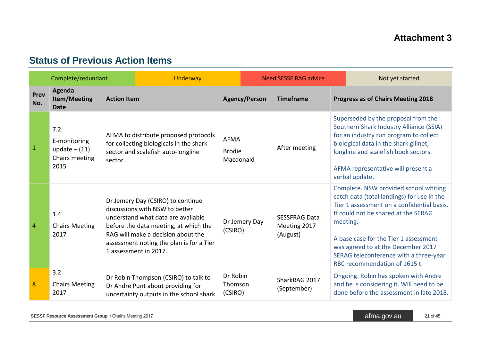# **Status of Previous Action Items**

|             | Complete/redundant                                               | Underway                                                                                                                                                                                                                                                      | <b>Need SESSF RAG advice</b>              |                                                  | Not yet started                                                                                                                                                                                                                                                                                                                                |  |
|-------------|------------------------------------------------------------------|---------------------------------------------------------------------------------------------------------------------------------------------------------------------------------------------------------------------------------------------------------------|-------------------------------------------|--------------------------------------------------|------------------------------------------------------------------------------------------------------------------------------------------------------------------------------------------------------------------------------------------------------------------------------------------------------------------------------------------------|--|
| Prev<br>No. | Agenda<br><b>Item/Meeting</b><br><b>Date</b>                     | <b>Action Item</b>                                                                                                                                                                                                                                            | <b>Agency/Person</b>                      | <b>Timeframe</b>                                 | <b>Progress as of Chairs Meeting 2018</b>                                                                                                                                                                                                                                                                                                      |  |
| 1           | 7.2<br>E-monitoring<br>update $- (11)$<br>Chairs meeting<br>2015 | AFMA to distribute proposed protocols<br>for collecting biologicals in the shark<br>sector and scalefish auto-longline<br>sector.                                                                                                                             | <b>AFMA</b><br><b>Brodie</b><br>Macdonald | After meeting                                    | Superseded by the proposal from the<br>Southern Shark Industry Alliance (SSIA)<br>for an industry run program to collect<br>biological data in the shark gillnet,<br>longline and scalefish hook sectors.<br>AFMA representative will present a<br>verbal update.                                                                              |  |
| 4           | 1.4<br><b>Chairs Meeting</b><br>2017                             | Dr Jemery Day (CSIRO) to continue<br>discussions with NSW to better<br>understand what data are available<br>before the data meeting, at which the<br>RAG will make a decision about the<br>assessment noting the plan is for a Tier<br>1 assessment in 2017. | Dr Jemery Day<br>(CSIRO)                  | <b>SESSFRAG Data</b><br>Meeting 2017<br>(August) | Complete. NSW provided school whiting<br>catch data (total landings) for use in the<br>Tier 1 assessment on a confidential basis.<br>It could not be shared at the SERAG<br>meeting.<br>A base case for the Tier 1 assessment<br>was agreed to at the December 2017<br>SERAG teleconference with a three-year<br>RBC recommendation of 1615 t. |  |
| 8           | 3.2<br><b>Chairs Meeting</b><br>2017                             | Dr Robin Thompson (CSIRO) to talk to<br>Dr Andre Punt about providing for<br>uncertainty outputs in the school shark                                                                                                                                          | Dr Robin<br>Thomson<br>(CSIRO)            | SharkRAG 2017<br>(September)                     | Ongoing. Robin has spoken with Andre<br>and he is considering it. Will need to be<br>done before the assessment in late 2018.                                                                                                                                                                                                                  |  |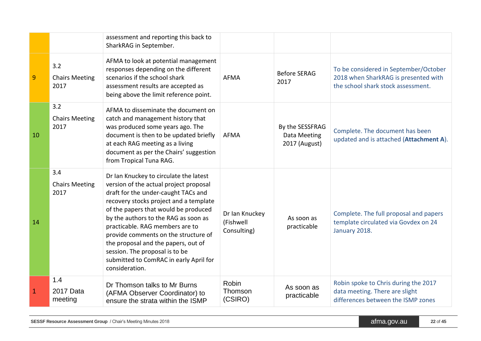|    |                                      | assessment and reporting this back to<br>SharkRAG in September.                                                                                                                                                                                                                                                                                                                                                                                                   |                                            |                                                  |                                                                                                                     |
|----|--------------------------------------|-------------------------------------------------------------------------------------------------------------------------------------------------------------------------------------------------------------------------------------------------------------------------------------------------------------------------------------------------------------------------------------------------------------------------------------------------------------------|--------------------------------------------|--------------------------------------------------|---------------------------------------------------------------------------------------------------------------------|
| 9  | 3.2<br><b>Chairs Meeting</b><br>2017 | AFMA to look at potential management<br>responses depending on the different<br>scenarios if the school shark<br>assessment results are accepted as<br>being above the limit reference point.                                                                                                                                                                                                                                                                     | <b>AFMA</b>                                | <b>Before SERAG</b><br>2017                      | To be considered in September/October<br>2018 when SharkRAG is presented with<br>the school shark stock assessment. |
| 10 | 3.2<br><b>Chairs Meeting</b><br>2017 | AFMA to disseminate the document on<br>catch and management history that<br>was produced some years ago. The<br>document is then to be updated briefly<br>at each RAG meeting as a living<br>document as per the Chairs' suggestion<br>from Tropical Tuna RAG.                                                                                                                                                                                                    | <b>AFMA</b>                                | By the SESSFRAG<br>Data Meeting<br>2017 (August) | Complete. The document has been<br>updated and is attached (Attachment A).                                          |
| 14 | 3.4<br><b>Chairs Meeting</b><br>2017 | Dr Ian Knuckey to circulate the latest<br>version of the actual project proposal<br>draft for the under-caught TACs and<br>recovery stocks project and a template<br>of the papers that would be produced<br>by the authors to the RAG as soon as<br>practicable. RAG members are to<br>provide comments on the structure of<br>the proposal and the papers, out of<br>session. The proposal is to be<br>submitted to ComRAC in early April for<br>consideration. | Dr Ian Knuckey<br>(Fishwell<br>Consulting) | As soon as<br>practicable                        | Complete. The full proposal and papers<br>template circulated via Govdex on 24<br>January 2018.                     |
|    | 1.4<br>2017 Data<br>meeting          | Dr Thomson talks to Mr Burns<br>(AFMA Observer Coordinator) to<br>ensure the strata within the ISMP                                                                                                                                                                                                                                                                                                                                                               | <b>Robin</b><br>Thomson<br>(CSIRO)         | As soon as<br>practicable                        | Robin spoke to Chris during the 2017<br>data meeting. There are slight<br>differences between the ISMP zones        |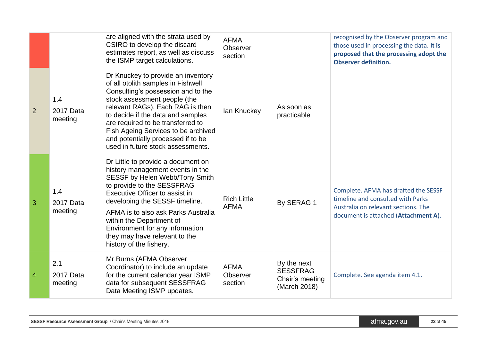|                |                             | are aligned with the strata used by<br>CSIRO to develop the discard<br>estimates report, as well as discuss<br>the ISMP target calculations.                                                                                                                                                                                                                                   | <b>AFMA</b><br>Observer<br>section |                                                                   | recognised by the Observer program and<br>those used in processing the data. It is<br>proposed that the processing adopt the<br><b>Observer definition.</b> |
|----------------|-----------------------------|--------------------------------------------------------------------------------------------------------------------------------------------------------------------------------------------------------------------------------------------------------------------------------------------------------------------------------------------------------------------------------|------------------------------------|-------------------------------------------------------------------|-------------------------------------------------------------------------------------------------------------------------------------------------------------|
| 2              | 1.4<br>2017 Data<br>meeting | Dr Knuckey to provide an inventory<br>of all otolith samples in Fishwell<br>Consulting's possession and to the<br>stock assessment people (the<br>relevant RAGs). Each RAG is then<br>to decide if the data and samples<br>are required to be transferred to<br>Fish Ageing Services to be archived<br>and potentially processed if to be<br>used in future stock assessments. | lan Knuckey                        | As soon as<br>practicable                                         |                                                                                                                                                             |
| 3              | 1.4<br>2017 Data<br>meeting | Dr Little to provide a document on<br>history management events in the<br>SESSF by Helen Webb/Tony Smith<br>to provide to the SESSFRAG<br>Executive Officer to assist in<br>developing the SESSF timeline.<br>AFMA is to also ask Parks Australia<br>within the Department of<br>Environment for any information<br>they may have relevant to the<br>history of the fishery.   | <b>Rich Little</b><br><b>AFMA</b>  | By SERAG 1                                                        | Complete. AFMA has drafted the SESSF<br>timeline and consulted with Parks<br>Australia on relevant sections. The<br>document is attached (Attachment A).    |
| $\overline{4}$ | 2.1<br>2017 Data<br>meeting | Mr Burns (AFMA Observer<br>Coordinator) to include an update<br>for the current calendar year ISMP<br>data for subsequent SESSFRAG<br>Data Meeting ISMP updates.                                                                                                                                                                                                               | <b>AFMA</b><br>Observer<br>section | By the next<br><b>SESSFRAG</b><br>Chair's meeting<br>(March 2018) | Complete. See agenda item 4.1.                                                                                                                              |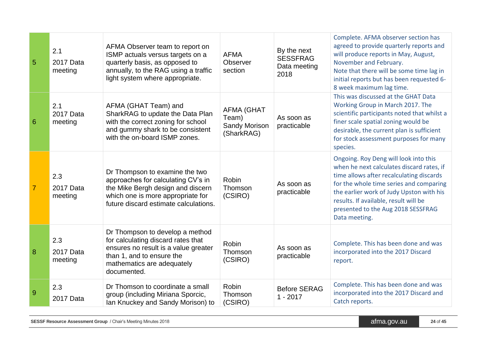| $\overline{5}$  | 2.1<br>2017 Data<br>meeting | AFMA Observer team to report on<br>ISMP actuals versus targets on a<br>quarterly basis, as opposed to<br>annually, to the RAG using a traffic<br>light system where appropriate.        | <b>AFMA</b><br>Observer<br>section                        | By the next<br><b>SESSFRAG</b><br>Data meeting<br>2018 | Complete. AFMA observer section has<br>agreed to provide quarterly reports and<br>will produce reports in May, August,<br>November and February.<br>Note that there will be some time lag in<br>initial reports but has been requested 6-<br>8 week maximum lag time.                                                 |
|-----------------|-----------------------------|-----------------------------------------------------------------------------------------------------------------------------------------------------------------------------------------|-----------------------------------------------------------|--------------------------------------------------------|-----------------------------------------------------------------------------------------------------------------------------------------------------------------------------------------------------------------------------------------------------------------------------------------------------------------------|
| $6\phantom{1}6$ | 2.1<br>2017 Data<br>meeting | AFMA (GHAT Team) and<br>SharkRAG to update the Data Plan<br>with the correct zoning for school<br>and gummy shark to be consistent<br>with the on-board ISMP zones.                     | <b>AFMA (GHAT</b><br>Team)<br>Sandy Morison<br>(SharkRAG) | As soon as<br>practicable                              | This was discussed at the GHAT Data<br>Working Group in March 2017. The<br>scientific participants noted that whilst a<br>finer scale spatial zoning would be<br>desirable, the current plan is sufficient<br>for stock assessment purposes for many<br>species.                                                      |
| $\overline{7}$  | 2.3<br>2017 Data<br>meeting | Dr Thompson to examine the two<br>approaches for calculating CV's in<br>the Mike Bergh design and discern<br>which one is more appropriate for<br>future discard estimate calculations. | <b>Robin</b><br>Thomson<br>(CSIRO)                        | As soon as<br>practicable                              | Ongoing. Roy Deng will look into this<br>when he next calculates discard rates, if<br>time allows after recalculating discards<br>for the whole time series and comparing<br>the earlier work of Judy Upston with his<br>results. If available, result will be<br>presented to the Aug 2018 SESSFRAG<br>Data meeting. |
| 8               | 2.3<br>2017 Data<br>meeting | Dr Thompson to develop a method<br>for calculating discard rates that<br>ensures no result is a value greater<br>than 1, and to ensure the<br>mathematics are adequately<br>documented. | <b>Robin</b><br>Thomson<br>(CSIRO)                        | As soon as<br>practicable                              | Complete. This has been done and was<br>incorporated into the 2017 Discard<br>report.                                                                                                                                                                                                                                 |
| $\overline{9}$  | 2.3<br>2017 Data            | Dr Thomson to coordinate a small<br>group (including Miriana Sporcic,<br>Ian Knuckey and Sandy Morison) to                                                                              | <b>Robin</b><br>Thomson<br>(CSIRO)                        | <b>Before SERAG</b><br>$1 - 2017$                      | Complete. This has been done and was<br>incorporated into the 2017 Discard and<br>Catch reports.                                                                                                                                                                                                                      |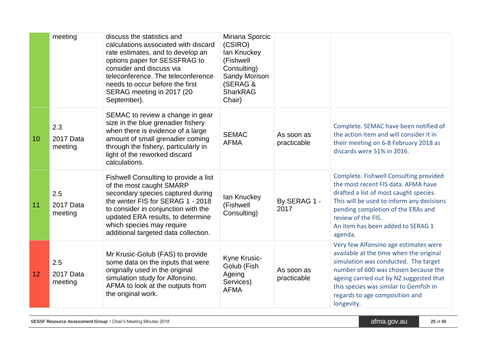|                 | meeting                     | discuss the statistics and<br>calculations associated with discard<br>rate estimates, and to develop an<br>options paper for SESSFRAG to<br>consider and discuss via<br>teleconference. The teleconference<br>needs to occur before the first<br>SERAG meeting in 2017 (20<br>September).    | Miriana Sporcic<br>(CSIRO)<br>lan Knuckey<br>(Fishwell<br>Consulting)<br><b>Sandy Morison</b><br>(SERAG &<br><b>SharkRAG</b><br>Chair) |                           |                                                                                                                                                                                                                                                                                                       |
|-----------------|-----------------------------|----------------------------------------------------------------------------------------------------------------------------------------------------------------------------------------------------------------------------------------------------------------------------------------------|----------------------------------------------------------------------------------------------------------------------------------------|---------------------------|-------------------------------------------------------------------------------------------------------------------------------------------------------------------------------------------------------------------------------------------------------------------------------------------------------|
| 10              | 2.3<br>2017 Data<br>meeting | SEMAC to review a change in gear<br>size in the blue grenadier fishery<br>when there is evidence of a large<br>amount of small grenadier coming<br>through the fishery, particularly in<br>light of the reworked discard<br>calculations.                                                    | <b>SEMAC</b><br><b>AFMA</b>                                                                                                            | As soon as<br>practicable | Complete. SEMAC have been notified of<br>the action item and will consider it in<br>their meeting on 6-8 February 2018 as<br>discards were 51% in 2016.                                                                                                                                               |
| 11              | 2.5<br>2017 Data<br>meeting | Fishwell Consulting to provide a list<br>of the most caught SMARP<br>secondary species captured during<br>the winter FIS for SERAG 1 - 2018<br>to consider in conjunction with the<br>updated ERA results, to determine<br>which species may require<br>additional targeted data collection. | lan Knuckey<br>(Fishwell<br>Consulting)                                                                                                | By SERAG 1 -<br>2017      | Complete. Fishwell Consulting provided<br>the most recent FIS data. AFMA have<br>drafted a list of most caught species.<br>This will be used to inform any decisions<br>pending completion of the ERAs and<br>review of the FIS.<br>An item has been added to SERAG 1<br>agenda.                      |
| 12 <sub>2</sub> | 2.5<br>2017 Data<br>meeting | Mr Krusic-Golub (FAS) to provide<br>some data on the inputs that were<br>originally used in the original<br>simulation study for Alfonsino.<br>AFMA to look at the outputs from<br>the original work.                                                                                        | Kyne Krusic-<br>Golub (Fish<br>Ageing<br>Services)<br><b>AFMA</b>                                                                      | As soon as<br>practicable | Very few Alfonsino age estimates were<br>available at the time when the original<br>simulation was conducted. The target<br>number of 600 was chosen because the<br>ageing carried out by NZ suggested that<br>this species was similar to Gemfish in<br>regards to age composition and<br>longevity. |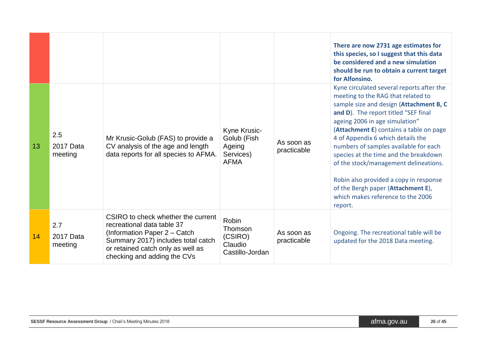|    |                             |                                                                                                                                                                                                            |                                                                   |                           | There are now 2731 age estimates for<br>this species, so I suggest that this data<br>be considered and a new simulation<br>should be run to obtain a current target<br>for Alfonsino.                                                                                                                                                                                                                                                                                                                                                           |
|----|-----------------------------|------------------------------------------------------------------------------------------------------------------------------------------------------------------------------------------------------------|-------------------------------------------------------------------|---------------------------|-------------------------------------------------------------------------------------------------------------------------------------------------------------------------------------------------------------------------------------------------------------------------------------------------------------------------------------------------------------------------------------------------------------------------------------------------------------------------------------------------------------------------------------------------|
| 13 | 2.5<br>2017 Data<br>meeting | Mr Krusic-Golub (FAS) to provide a<br>CV analysis of the age and length<br>data reports for all species to AFMA.                                                                                           | Kyne Krusic-<br>Golub (Fish<br>Ageing<br>Services)<br><b>AFMA</b> | As soon as<br>practicable | Kyne circulated several reports after the<br>meeting to the RAG that related to<br>sample size and design (Attachment B, C<br>and D). The report titled "SEF final<br>ageing 2006 in age simulation"<br>(Attachment E) contains a table on page<br>4 of Appendix 6 which details the<br>numbers of samples available for each<br>species at the time and the breakdown<br>of the stock/management delineations.<br>Robin also provided a copy in response<br>of the Bergh paper (Attachment E),<br>which makes reference to the 2006<br>report. |
| 14 | 2.7<br>2017 Data<br>meeting | CSIRO to check whether the current<br>recreational data table 37<br>(Information Paper 2 – Catch<br>Summary 2017) includes total catch<br>or retained catch only as well as<br>checking and adding the CVs | Robin<br>Thomson<br>(CSIRO)<br>Claudio<br>Castillo-Jordan         | As soon as<br>practicable | Ongoing. The recreational table will be<br>updated for the 2018 Data meeting.                                                                                                                                                                                                                                                                                                                                                                                                                                                                   |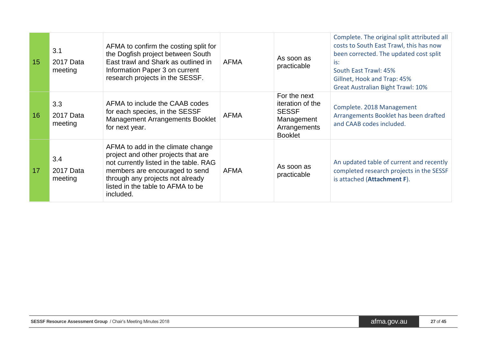| 15 | 3.1<br>2017 Data<br>meeting | AFMA to confirm the costing split for<br>the Dogfish project between South<br>East trawl and Shark as outlined in<br>Information Paper 3 on current<br>research projects in the SESSF.                                                     | <b>AFMA</b> | As soon as<br>practicable                                                                        | Complete. The original split attributed all<br>costs to South East Trawl, this has now<br>been corrected. The updated cost split<br>is:<br>South East Trawl: 45%<br>Gillnet, Hook and Trap: 45%<br><b>Great Australian Bight Trawl: 10%</b> |
|----|-----------------------------|--------------------------------------------------------------------------------------------------------------------------------------------------------------------------------------------------------------------------------------------|-------------|--------------------------------------------------------------------------------------------------|---------------------------------------------------------------------------------------------------------------------------------------------------------------------------------------------------------------------------------------------|
| 16 | 3.3<br>2017 Data<br>meeting | AFMA to include the CAAB codes<br>for each species, in the SESSF<br><b>Management Arrangements Booklet</b><br>for next year.                                                                                                               | <b>AFMA</b> | For the next<br>iteration of the<br><b>SESSF</b><br>Management<br>Arrangements<br><b>Booklet</b> | Complete. 2018 Management<br>Arrangements Booklet has been drafted<br>and CAAB codes included.                                                                                                                                              |
| 17 | 3.4<br>2017 Data<br>meeting | AFMA to add in the climate change<br>project and other projects that are<br>not currently listed in the table. RAG<br>members are encouraged to send<br>through any projects not already<br>listed in the table to AFMA to be<br>included. | <b>AFMA</b> | As soon as<br>practicable                                                                        | An updated table of current and recently<br>completed research projects in the SESSF<br>is attached (Attachment F).                                                                                                                         |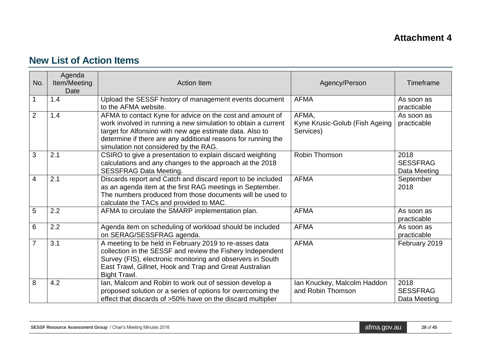# **New List of Action Items**

| No.            | Agenda<br>Item/Meeting<br>Date | <b>Action Item</b>                                                                                                                                                                                                                                                                               | Agency/Person                                        | Timeframe                               |
|----------------|--------------------------------|--------------------------------------------------------------------------------------------------------------------------------------------------------------------------------------------------------------------------------------------------------------------------------------------------|------------------------------------------------------|-----------------------------------------|
|                | 1.4                            | Upload the SESSF history of management events document<br>to the AFMA website.                                                                                                                                                                                                                   | <b>AFMA</b>                                          | As soon as<br>practicable               |
| $\overline{2}$ | 1.4                            | AFMA to contact Kyne for advice on the cost and amount of<br>work involved in running a new simulation to obtain a current<br>target for Alfonsino with new age estimate data. Also to<br>determine if there are any additional reasons for running the<br>simulation not considered by the RAG. | AFMA,<br>Kyne Krusic-Golub (Fish Ageing<br>Services) | As soon as<br>practicable               |
| 3              | 2.1                            | CSIRO to give a presentation to explain discard weighting<br>calculations and any changes to the approach at the 2018<br><b>SESSFRAG Data Meeting.</b>                                                                                                                                           | Robin Thomson                                        | 2018<br><b>SESSFRAG</b><br>Data Meeting |
| 4              | 2.1                            | Discards report and Catch and discard report to be included<br>as an agenda item at the first RAG meetings in September.<br>The numbers produced from those documents will be used to<br>calculate the TACs and provided to MAC.                                                                 | <b>AFMA</b>                                          | September<br>2018                       |
| 5              | 2.2                            | AFMA to circulate the SMARP implementation plan.                                                                                                                                                                                                                                                 | <b>AFMA</b>                                          | As soon as<br>practicable               |
| 6              | 2.2                            | Agenda item on scheduling of workload should be included<br>on SERAG/SESSFRAG agenda.                                                                                                                                                                                                            | <b>AFMA</b>                                          | As soon as<br>practicable               |
| $\overline{7}$ | 3.1                            | A meeting to be held in February 2019 to re-asses data<br>collection in the SESSF and review the Fishery Independent<br>Survey (FIS), electronic monitoring and observers in South<br>East Trawl, Gillnet, Hook and Trap and Great Australian<br>Bight Trawl.                                    | <b>AFMA</b>                                          | February 2019                           |
| 8              | 4.2                            | Ian, Malcom and Robin to work out of session develop a<br>proposed solution or a series of options for overcoming the<br>effect that discards of >50% have on the discard multiplier                                                                                                             | Ian Knuckey, Malcolm Haddon<br>and Robin Thomson     | 2018<br><b>SESSFRAG</b><br>Data Meeting |

| <b>SESSF Resource Assessment Group</b> / Chair's Meeting Minutes 2018 | 'afma.ɑov.au⊥ | 28 of 45 |
|-----------------------------------------------------------------------|---------------|----------|
|-----------------------------------------------------------------------|---------------|----------|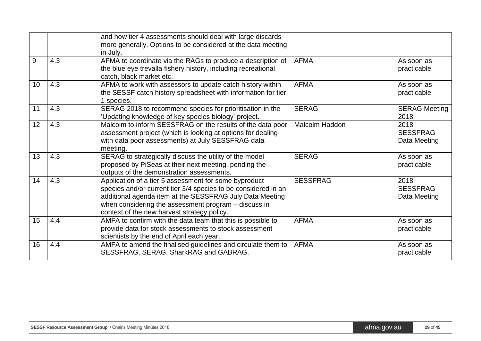|    |     | and how tier 4 assessments should deal with large discards<br>more generally. Options to be considered at the data meeting<br>in July.                                                                                                                                                     |                       |                                         |
|----|-----|--------------------------------------------------------------------------------------------------------------------------------------------------------------------------------------------------------------------------------------------------------------------------------------------|-----------------------|-----------------------------------------|
| 9  | 4.3 | AFMA to coordinate via the RAGs to produce a description of<br>the blue eye trevalla fishery history, including recreational<br>catch, black market etc.                                                                                                                                   | <b>AFMA</b>           | As soon as<br>practicable               |
| 10 | 4.3 | AFMA to work with assessors to update catch history within<br>the SESSF catch history spreadsheet with information for tier<br>1 species.                                                                                                                                                  | <b>AFMA</b>           | As soon as<br>practicable               |
| 11 | 4.3 | SERAG 2018 to recommend species for prioritisation in the<br>'Updating knowledge of key species biology' project.                                                                                                                                                                          | <b>SERAG</b>          | <b>SERAG Meeting</b><br>2018            |
| 12 | 4.3 | Malcolm to inform SESSFRAG on the results of the data poor<br>assessment project (which is looking at options for dealing<br>with data poor assessments) at July SESSFRAG data<br>meeting.                                                                                                 | <b>Malcolm Haddon</b> | 2018<br><b>SESSFRAG</b><br>Data Meeting |
| 13 | 4.3 | SERAG to strategically discuss the utility of the model<br>proposed by PiSeas at their next meeting, pending the<br>outputs of the demonstration assessments.                                                                                                                              | <b>SERAG</b>          | As soon as<br>practicable               |
| 14 | 4.3 | Application of a tier 5 assessment for some byproduct<br>species and/or current tier 3/4 species to be considered in an<br>additional agenda item at the SESSFRAG July Data Meeting<br>when considering the assessment program - discuss in<br>context of the new harvest strategy policy. | <b>SESSFRAG</b>       | 2018<br><b>SESSFRAG</b><br>Data Meeting |
| 15 | 4.4 | AMFA to confirm with the data team that this is possible to<br>provide data for stock assessments to stock assessment<br>scientists by the end of April each year.                                                                                                                         | <b>AFMA</b>           | As soon as<br>practicable               |
| 16 | 4.4 | AMFA to amend the finalised guidelines and circulate them to<br>SESSFRAG, SERAG, SharkRAG and GABRAG.                                                                                                                                                                                      | <b>AFMA</b>           | As soon as<br>practicable               |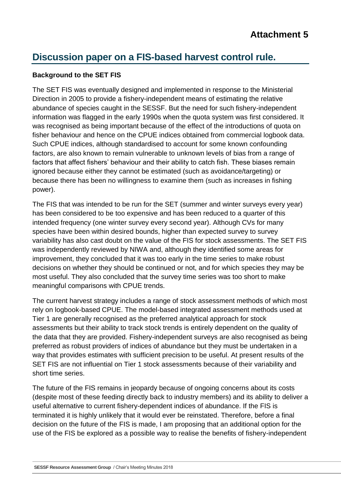# **Discussion paper on a FIS-based harvest control rule.**

#### **Background to the SET FIS**

The SET FIS was eventually designed and implemented in response to the Ministerial Direction in 2005 to provide a fishery-independent means of estimating the relative abundance of species caught in the SESSF. But the need for such fishery-independent information was flagged in the early 1990s when the quota system was first considered. It was recognised as being important because of the effect of the introductions of quota on fisher behaviour and hence on the CPUE indices obtained from commercial logbook data. Such CPUE indices, although standardised to account for some known confounding factors, are also known to remain vulnerable to unknown levels of bias from a range of factors that affect fishers' behaviour and their ability to catch fish. These biases remain ignored because either they cannot be estimated (such as avoidance/targeting) or because there has been no willingness to examine them (such as increases in fishing power).

The FIS that was intended to be run for the SET (summer and winter surveys every year) has been considered to be too expensive and has been reduced to a quarter of this intended frequency (one winter survey every second year). Although CVs for many species have been within desired bounds, higher than expected survey to survey variability has also cast doubt on the value of the FIS for stock assessments. The SET FIS was independently reviewed by NIWA and, although they identified some areas for improvement, they concluded that it was too early in the time series to make robust decisions on whether they should be continued or not, and for which species they may be most useful. They also concluded that the survey time series was too short to make meaningful comparisons with CPUE trends.

The current harvest strategy includes a range of stock assessment methods of which most rely on logbook-based CPUE. The model-based integrated assessment methods used at Tier 1 are generally recognised as the preferred analytical approach for stock assessments but their ability to track stock trends is entirely dependent on the quality of the data that they are provided. Fishery-independent surveys are also recognised as being preferred as robust providers of indices of abundance but they must be undertaken in a way that provides estimates with sufficient precision to be useful. At present results of the SET FIS are not influential on Tier 1 stock assessments because of their variability and short time series.

The future of the FIS remains in jeopardy because of ongoing concerns about its costs (despite most of these feeding directly back to industry members) and its ability to deliver a useful alternative to current fishery-dependent indices of abundance. If the FIS is terminated it is highly unlikely that it would ever be reinstated. Therefore, before a final decision on the future of the FIS is made, I am proposing that an additional option for the use of the FIS be explored as a possible way to realise the benefits of fishery-independent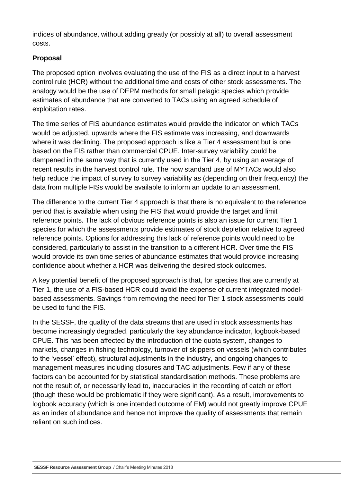indices of abundance, without adding greatly (or possibly at all) to overall assessment costs.

#### **Proposal**

The proposed option involves evaluating the use of the FIS as a direct input to a harvest control rule (HCR) without the additional time and costs of other stock assessments. The analogy would be the use of DEPM methods for small pelagic species which provide estimates of abundance that are converted to TACs using an agreed schedule of exploitation rates.

The time series of FIS abundance estimates would provide the indicator on which TACs would be adjusted, upwards where the FIS estimate was increasing, and downwards where it was declining. The proposed approach is like a Tier 4 assessment but is one based on the FIS rather than commercial CPUE. Inter-survey variability could be dampened in the same way that is currently used in the Tier 4, by using an average of recent results in the harvest control rule. The now standard use of MYTACs would also help reduce the impact of survey to survey variability as (depending on their frequency) the data from multiple FISs would be available to inform an update to an assessment.

The difference to the current Tier 4 approach is that there is no equivalent to the reference period that is available when using the FIS that would provide the target and limit reference points. The lack of obvious reference points is also an issue for current Tier 1 species for which the assessments provide estimates of stock depletion relative to agreed reference points. Options for addressing this lack of reference points would need to be considered, particularly to assist in the transition to a different HCR. Over time the FIS would provide its own time series of abundance estimates that would provide increasing confidence about whether a HCR was delivering the desired stock outcomes.

A key potential benefit of the proposed approach is that, for species that are currently at Tier 1, the use of a FIS-based HCR could avoid the expense of current integrated modelbased assessments. Savings from removing the need for Tier 1 stock assessments could be used to fund the FIS.

In the SESSF, the quality of the data streams that are used in stock assessments has become increasingly degraded, particularly the key abundance indicator, logbook-based CPUE. This has been affected by the introduction of the quota system, changes to markets, changes in fishing technology, turnover of skippers on vessels (which contributes to the 'vessel' effect), structural adjustments in the industry, and ongoing changes to management measures including closures and TAC adjustments. Few if any of these factors can be accounted for by statistical standardisation methods. These problems are not the result of, or necessarily lead to, inaccuracies in the recording of catch or effort (though these would be problematic if they were significant). As a result, improvements to logbook accuracy (which is one intended outcome of EM) would not greatly improve CPUE as an index of abundance and hence not improve the quality of assessments that remain reliant on such indices.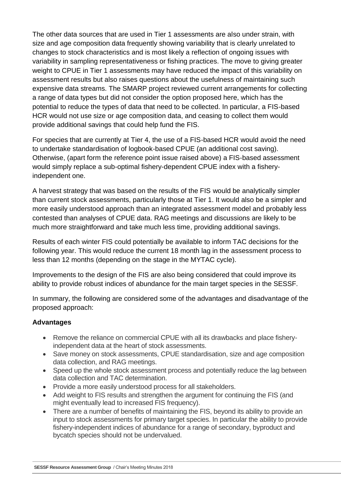The other data sources that are used in Tier 1 assessments are also under strain, with size and age composition data frequently showing variability that is clearly unrelated to changes to stock characteristics and is most likely a reflection of ongoing issues with variability in sampling representativeness or fishing practices. The move to giving greater weight to CPUE in Tier 1 assessments may have reduced the impact of this variability on assessment results but also raises questions about the usefulness of maintaining such expensive data streams. The SMARP project reviewed current arrangements for collecting a range of data types but did not consider the option proposed here, which has the potential to reduce the types of data that need to be collected. In particular, a FIS-based HCR would not use size or age composition data, and ceasing to collect them would provide additional savings that could help fund the FIS.

For species that are currently at Tier 4, the use of a FIS-based HCR would avoid the need to undertake standardisation of logbook-based CPUE (an additional cost saving). Otherwise, (apart form the reference point issue raised above) a FIS-based assessment would simply replace a sub-optimal fishery-dependent CPUE index with a fisheryindependent one.

A harvest strategy that was based on the results of the FIS would be analytically simpler than current stock assessments, particularly those at Tier 1. It would also be a simpler and more easily understood approach than an integrated assessment model and probably less contested than analyses of CPUE data. RAG meetings and discussions are likely to be much more straightforward and take much less time, providing additional savings.

Results of each winter FIS could potentially be available to inform TAC decisions for the following year. This would reduce the current 18 month lag in the assessment process to less than 12 months (depending on the stage in the MYTAC cycle).

Improvements to the design of the FIS are also being considered that could improve its ability to provide robust indices of abundance for the main target species in the SESSF.

In summary, the following are considered some of the advantages and disadvantage of the proposed approach:

#### **Advantages**

- Remove the reliance on commercial CPUE with all its drawbacks and place fisheryindependent data at the heart of stock assessments.
- Save money on stock assessments, CPUE standardisation, size and age composition data collection, and RAG meetings.
- Speed up the whole stock assessment process and potentially reduce the lag between data collection and TAC determination.
- Provide a more easily understood process for all stakeholders.
- Add weight to FIS results and strengthen the argument for continuing the FIS (and might eventually lead to increased FIS frequency).
- There are a number of benefits of maintaining the FIS, beyond its ability to provide an input to stock assessments for primary target species. In particular the ability to provide fishery-independent indices of abundance for a range of secondary, byproduct and bycatch species should not be undervalued.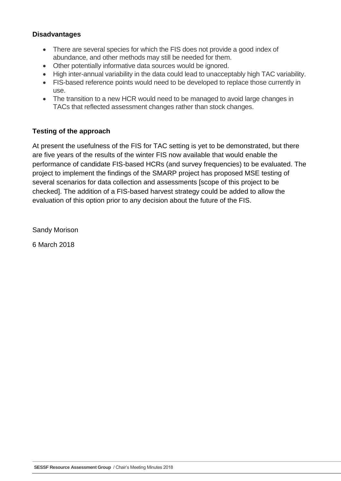#### **Disadvantages**

- There are several species for which the FIS does not provide a good index of abundance, and other methods may still be needed for them.
- Other potentially informative data sources would be ignored.
- High inter-annual variability in the data could lead to unacceptably high TAC variability.
- FIS-based reference points would need to be developed to replace those currently in use.
- The transition to a new HCR would need to be managed to avoid large changes in TACs that reflected assessment changes rather than stock changes.

#### **Testing of the approach**

At present the usefulness of the FIS for TAC setting is yet to be demonstrated, but there are five years of the results of the winter FIS now available that would enable the performance of candidate FIS-based HCRs (and survey frequencies) to be evaluated. The project to implement the findings of the SMARP project has proposed MSE testing of several scenarios for data collection and assessments [scope of this project to be checked]. The addition of a FIS-based harvest strategy could be added to allow the evaluation of this option prior to any decision about the future of the FIS.

Sandy Morison

6 March 2018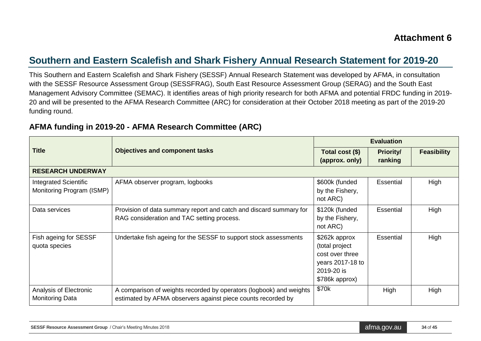## **Southern and Eastern Scalefish and Shark Fishery Annual Research Statement for 2019-20**

This Southern and Eastern Scalefish and Shark Fishery (SESSF) Annual Research Statement was developed by AFMA, in consultation with the SESSF Resource Assessment Group (SESSFRAG), South East Resource Assessment Group (SERAG) and the South East Management Advisory Committee (SEMAC). It identifies areas of high priority research for both AFMA and potential FRDC funding in 2019- 20 and will be presented to the AFMA Research Committee (ARC) for consideration at their October 2018 meeting as part of the 2019-20 funding round.

|                                                           |                                                                                                                                     |                                                                                                        | <b>Evaluation</b>           |                    |
|-----------------------------------------------------------|-------------------------------------------------------------------------------------------------------------------------------------|--------------------------------------------------------------------------------------------------------|-----------------------------|--------------------|
| <b>Title</b>                                              | <b>Objectives and component tasks</b>                                                                                               | Total cost (\$)<br>(approx. only)                                                                      | <b>Priority/</b><br>ranking | <b>Feasibility</b> |
| <b>RESEARCH UNDERWAY</b>                                  |                                                                                                                                     |                                                                                                        |                             |                    |
| <b>Integrated Scientific</b><br>Monitoring Program (ISMP) | AFMA observer program, logbooks                                                                                                     | \$600k (funded<br>by the Fishery,<br>not ARC)                                                          | Essential                   | High               |
| Data services                                             | Provision of data summary report and catch and discard summary for<br>RAG consideration and TAC setting process.                    | \$120k (funded<br>by the Fishery,<br>not ARC)                                                          | Essential                   | High               |
| Fish ageing for SESSF<br>quota species                    | Undertake fish ageing for the SESSF to support stock assessments                                                                    | \$262k approx<br>(total project<br>cost over three<br>years 2017-18 to<br>2019-20 is<br>\$786k approx) | Essential                   | High               |
| Analysis of Electronic<br><b>Monitoring Data</b>          | A comparison of weights recorded by operators (logbook) and weights<br>estimated by AFMA observers against piece counts recorded by | \$70k                                                                                                  | High                        | High               |

### **AFMA funding in 2019-20 - AFMA Research Committee (ARC)**

| <b>SESSF Resource Assessment Group</b> / Chair's Meeting Minutes 2018 | atma.gov.au | 34 of 45 |
|-----------------------------------------------------------------------|-------------|----------|
|-----------------------------------------------------------------------|-------------|----------|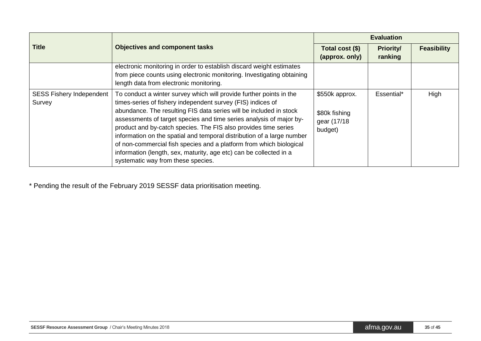|                                           |                                                                                                                                                                                                                                                                                                                                                                                                                                                                                                                                                                                                                 | <b>Evaluation</b>                                          |                             |                    |
|-------------------------------------------|-----------------------------------------------------------------------------------------------------------------------------------------------------------------------------------------------------------------------------------------------------------------------------------------------------------------------------------------------------------------------------------------------------------------------------------------------------------------------------------------------------------------------------------------------------------------------------------------------------------------|------------------------------------------------------------|-----------------------------|--------------------|
| <b>Title</b>                              | <b>Objectives and component tasks</b>                                                                                                                                                                                                                                                                                                                                                                                                                                                                                                                                                                           | Total cost (\$)<br>(approx. only)                          | <b>Priority/</b><br>ranking | <b>Feasibility</b> |
|                                           | electronic monitoring in order to establish discard weight estimates<br>from piece counts using electronic monitoring. Investigating obtaining<br>length data from electronic monitoring.                                                                                                                                                                                                                                                                                                                                                                                                                       |                                                            |                             |                    |
| <b>SESS Fishery Independent</b><br>Survey | To conduct a winter survey which will provide further points in the<br>times-series of fishery independent survey (FIS) indices of<br>abundance. The resulting FIS data series will be included in stock<br>assessments of target species and time series analysis of major by-<br>product and by-catch species. The FIS also provides time series<br>information on the spatial and temporal distribution of a large number<br>of non-commercial fish species and a platform from which biological<br>information (length, sex, maturity, age etc) can be collected in a<br>systematic way from these species. | \$550k approx.<br>\$80k fishing<br>gear (17/18)<br>budget) | Essential*                  | High               |

\* Pending the result of the February 2019 SESSF data prioritisation meeting.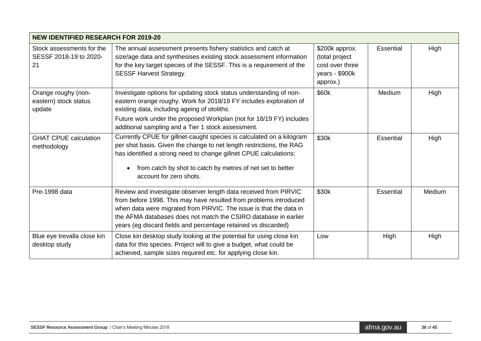| <b>NEW IDENTIFIED RESEARCH FOR 2019-20</b>                |                                                                                                                                                                                                                                                                                                                                                  |                                                                                   |                  |        |
|-----------------------------------------------------------|--------------------------------------------------------------------------------------------------------------------------------------------------------------------------------------------------------------------------------------------------------------------------------------------------------------------------------------------------|-----------------------------------------------------------------------------------|------------------|--------|
| Stock assessments for the<br>SESSF 2018-19 to 2020-<br>21 | The annual assessment presents fishery statistics and catch at<br>size/age data and synthesises existing stock assessment information<br>for the key target species of the SESSF. This is a requirement of the<br><b>SESSF Harvest Strategy.</b>                                                                                                 | \$200k approx.<br>(total project<br>cost over three<br>years - \$900k<br>approx.) | Essential        | High   |
| Orange roughy (non-<br>eastern) stock status<br>update    | Investigate options for updating stock status understanding of non-<br>eastern orange roughy. Work for 2018/19 FY includes exploration of<br>existing data, including ageing of otoliths.<br>Future work under the proposed Workplan (not for 18/19 FY) includes<br>additional sampling and a Tier 1 stock assessment.                           | \$60k                                                                             | Medium           | High   |
| <b>GHAT CPUE calculation</b><br>methodology               | Currently CPUE for gillnet-caught species is calculated on a kilogram<br>per shot basis. Given the change to net length restrictions, the RAG<br>has identified a strong need to change gillnet CPUE calculations:<br>from catch by shot to catch by metres of net set to better<br>$\bullet$<br>account for zero shots.                         | \$30k                                                                             | <b>Essential</b> | High   |
| Pre-1998 data                                             | Review and investigate observer length data received from PIRVIC<br>from before 1998. This may have resulted from problems introduced<br>when data were migrated from PIRVIC. The issue is that the data in<br>the AFMA databases does not match the CSIRO database in earlier<br>years (eg discard fields and percentage retained vs discarded) | \$30k                                                                             | <b>Essential</b> | Medium |
| Blue eye trevalla close kin<br>desktop study              | Close kin desktop study looking at the potential for using close kin<br>data for this species. Project will to give a budget, what could be<br>achieved, sample sizes required etc. for applying close kin.                                                                                                                                      | Low                                                                               | High             | High   |

| <b>SESSF Resource Assessment Group</b> / Chair's Meeting Minutes 2018 | l atma.ɑov.au i | 36 of 45 |
|-----------------------------------------------------------------------|-----------------|----------|
|-----------------------------------------------------------------------|-----------------|----------|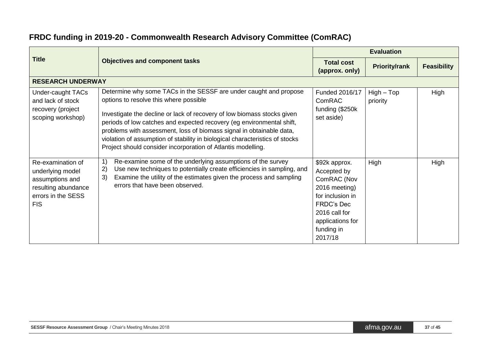## **FRDC funding in 2019-20 - Commonwealth Research Advisory Committee (ComRAC)**

| <b>Title</b>                                                                                                        |                                                                                                                                                                                                                                                                                                                                                                                                                                                                                         |                                                                                                                                                                     | <b>Evaluation</b>        |                    |
|---------------------------------------------------------------------------------------------------------------------|-----------------------------------------------------------------------------------------------------------------------------------------------------------------------------------------------------------------------------------------------------------------------------------------------------------------------------------------------------------------------------------------------------------------------------------------------------------------------------------------|---------------------------------------------------------------------------------------------------------------------------------------------------------------------|--------------------------|--------------------|
|                                                                                                                     | <b>Objectives and component tasks</b>                                                                                                                                                                                                                                                                                                                                                                                                                                                   | <b>Total cost</b><br>(approx. only)                                                                                                                                 | <b>Priority/rank</b>     | <b>Feasibility</b> |
| <b>RESEARCH UNDERWAY</b>                                                                                            |                                                                                                                                                                                                                                                                                                                                                                                                                                                                                         |                                                                                                                                                                     |                          |                    |
| <b>Under-caught TACs</b><br>and lack of stock<br>recovery (project<br>scoping workshop)                             | Determine why some TACs in the SESSF are under caught and propose<br>options to resolve this where possible<br>Investigate the decline or lack of recovery of low biomass stocks given<br>periods of low catches and expected recovery (eg environmental shift,<br>problems with assessment, loss of biomass signal in obtainable data,<br>violation of assumption of stability in biological characteristics of stocks<br>Project should consider incorporation of Atlantis modelling. | Funded 2016/17<br>ComRAC<br>funding (\$250k<br>set aside)                                                                                                           | $High - Top$<br>priority | High               |
| Re-examination of<br>underlying model<br>assumptions and<br>resulting abundance<br>errors in the SESS<br><b>FIS</b> | Re-examine some of the underlying assumptions of the survey<br>1)<br>2)<br>Use new techniques to potentially create efficiencies in sampling, and<br>Examine the utility of the estimates given the process and sampling<br>3)<br>errors that have been observed.                                                                                                                                                                                                                       | \$92k approx.<br>Accepted by<br>ComRAC (Nov<br>2016 meeting)<br>for inclusion in<br><b>FRDC's Dec</b><br>2016 call for<br>applications for<br>funding in<br>2017/18 | High                     | High               |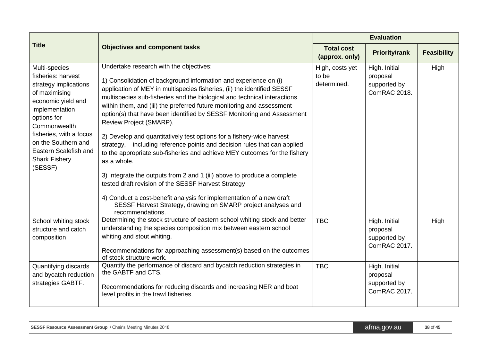|                                                                                                                                                                                                                                                                    |                                                                                                                                                                                                                                                                                                                                                                                                                                                                                                                                                                                                                                                                                                                                                                                                                                                                                                             |                                         | <b>Evaluation</b>                                         |                    |
|--------------------------------------------------------------------------------------------------------------------------------------------------------------------------------------------------------------------------------------------------------------------|-------------------------------------------------------------------------------------------------------------------------------------------------------------------------------------------------------------------------------------------------------------------------------------------------------------------------------------------------------------------------------------------------------------------------------------------------------------------------------------------------------------------------------------------------------------------------------------------------------------------------------------------------------------------------------------------------------------------------------------------------------------------------------------------------------------------------------------------------------------------------------------------------------------|-----------------------------------------|-----------------------------------------------------------|--------------------|
| <b>Title</b>                                                                                                                                                                                                                                                       | <b>Objectives and component tasks</b>                                                                                                                                                                                                                                                                                                                                                                                                                                                                                                                                                                                                                                                                                                                                                                                                                                                                       | <b>Total cost</b><br>(approx. only)     | <b>Priority/rank</b>                                      | <b>Feasibility</b> |
| Multi-species<br>fisheries: harvest<br>strategy implications<br>of maximising<br>economic yield and<br>implementation<br>options for<br>Commonwealth<br>fisheries, with a focus<br>on the Southern and<br>Eastern Scalefish and<br><b>Shark Fishery</b><br>(SESSF) | Undertake research with the objectives:<br>1) Consolidation of background information and experience on (i)<br>application of MEY in multispecies fisheries, (ii) the identified SESSF<br>multispecies sub-fisheries and the biological and technical interactions<br>within them, and (iii) the preferred future monitoring and assessment<br>option(s) that have been identified by SESSF Monitoring and Assessment<br>Review Project (SMARP).<br>2) Develop and quantitatively test options for a fishery-wide harvest<br>strategy, including reference points and decision rules that can applied<br>to the appropriate sub-fisheries and achieve MEY outcomes for the fishery<br>as a whole.<br>3) Integrate the outputs from 2 and 1 (iii) above to produce a complete<br>tested draft revision of the SESSF Harvest Strategy<br>4) Conduct a cost-benefit analysis for implementation of a new draft | High, costs yet<br>to be<br>determined. | High. Initial<br>proposal<br>supported by<br>ComRAC 2018. | High               |
|                                                                                                                                                                                                                                                                    | SESSF Harvest Strategy, drawing on SMARP project analyses and<br>recommendations.                                                                                                                                                                                                                                                                                                                                                                                                                                                                                                                                                                                                                                                                                                                                                                                                                           |                                         |                                                           |                    |
| School whiting stock<br>structure and catch<br>composition                                                                                                                                                                                                         | Determining the stock structure of eastern school whiting stock and better<br>understanding the species composition mix between eastern school<br>whiting and stout whiting.<br>Recommendations for approaching assessment(s) based on the outcomes<br>of stock structure work.                                                                                                                                                                                                                                                                                                                                                                                                                                                                                                                                                                                                                             | <b>TBC</b>                              | High. Initial<br>proposal<br>supported by<br>ComRAC 2017. | High               |
| Quantifying discards<br>and bycatch reduction<br>strategies GABTF.                                                                                                                                                                                                 | Quantify the performance of discard and bycatch reduction strategies in<br>the GABTF and CTS.<br>Recommendations for reducing discards and increasing NER and boat<br>level profits in the trawl fisheries.                                                                                                                                                                                                                                                                                                                                                                                                                                                                                                                                                                                                                                                                                                 | <b>TBC</b>                              | High. Initial<br>proposal<br>supported by<br>ComRAC 2017. |                    |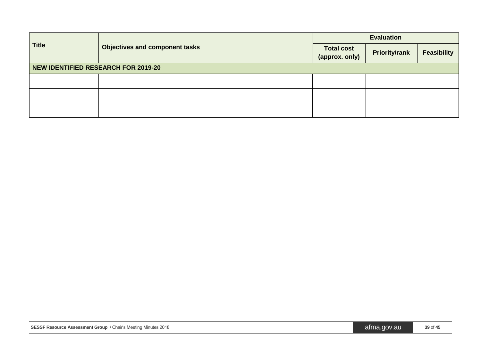| <b>Title</b> | <b>Objectives and component tasks</b>      | <b>Evaluation</b>            |                      |                    |  |  |
|--------------|--------------------------------------------|------------------------------|----------------------|--------------------|--|--|
|              |                                            | Total cost<br>(approx. only) | <b>Priority/rank</b> | <b>Feasibility</b> |  |  |
|              | <b>NEW IDENTIFIED RESEARCH FOR 2019-20</b> |                              |                      |                    |  |  |
|              |                                            |                              |                      |                    |  |  |
|              |                                            |                              |                      |                    |  |  |
|              |                                            |                              |                      |                    |  |  |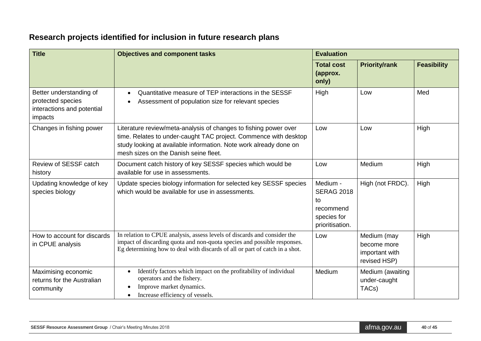# **Research projects identified for inclusion in future research plans**

| <b>Title</b>                                                                          | <b>Objectives and component tasks</b>                                                                                                                                                                                                              | <b>Evaluation</b>                                                                  |                                                              |                    |  |
|---------------------------------------------------------------------------------------|----------------------------------------------------------------------------------------------------------------------------------------------------------------------------------------------------------------------------------------------------|------------------------------------------------------------------------------------|--------------------------------------------------------------|--------------------|--|
|                                                                                       |                                                                                                                                                                                                                                                    | <b>Total cost</b><br>(approx.<br>only)                                             | <b>Priority/rank</b>                                         | <b>Feasibility</b> |  |
| Better understanding of<br>protected species<br>interactions and potential<br>impacts | Quantitative measure of TEP interactions in the SESSF<br>$\bullet$<br>Assessment of population size for relevant species<br>$\bullet$                                                                                                              | High                                                                               | Low                                                          | Med                |  |
| Changes in fishing power                                                              | Literature review/meta-analysis of changes to fishing power over<br>time. Relates to under-caught TAC project. Commence with desktop<br>study looking at available information. Note work already done on<br>mesh sizes on the Danish seine fleet. | Low                                                                                | Low                                                          | High               |  |
| Review of SESSF catch<br>history                                                      | Document catch history of key SESSF species which would be<br>available for use in assessments.                                                                                                                                                    | Low                                                                                | Medium                                                       | High               |  |
| Updating knowledge of key<br>species biology                                          | Update species biology information for selected key SESSF species<br>which would be available for use in assessments.                                                                                                                              | Medium -<br><b>SERAG 2018</b><br>to<br>recommend<br>species for<br>prioritisation. | High (not FRDC).                                             | High               |  |
| How to account for discards<br>in CPUE analysis                                       | In relation to CPUE analysis, assess levels of discards and consider the<br>impact of discarding quota and non-quota species and possible responses.<br>Eg determining how to deal with discards of all or part of catch in a shot.                | Low                                                                                | Medium (may<br>become more<br>important with<br>revised HSP) | High               |  |
| Maximising economic<br>returns for the Australian<br>community                        | Identify factors which impact on the profitability of individual<br>$\bullet$<br>operators and the fishery.<br>Improve market dynamics.<br>Increase efficiency of vessels.                                                                         | Medium                                                                             | Medium (awaiting<br>under-caught<br>TAC <sub>s</sub> )       |                    |  |

| <b>SESSF Resource Assessment Group</b> / Chair's Meeting Minutes 2018 | 40 of 45<br>atma.gov.au |  |
|-----------------------------------------------------------------------|-------------------------|--|
|-----------------------------------------------------------------------|-------------------------|--|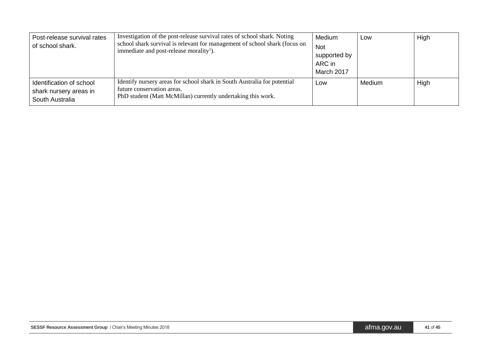| Post-release survival rates<br>of school shark.                       | Investigation of the post-release survival rates of school shark. Noting<br>school shark survival is relevant for management of school shark (focus on<br>immediate and post-release morality <sup>1</sup> ). | Medium<br><b>Not</b><br>supported by<br>ARC in<br>March 2017 | Low    | High |
|-----------------------------------------------------------------------|---------------------------------------------------------------------------------------------------------------------------------------------------------------------------------------------------------------|--------------------------------------------------------------|--------|------|
| Identification of school<br>shark nursery areas in<br>South Australia | Identify nursery areas for school shark in South Australia for potential<br>future conservation areas.<br>PhD student (Matt McMillan) currently undertaking this work.                                        | Low                                                          | Medium | High |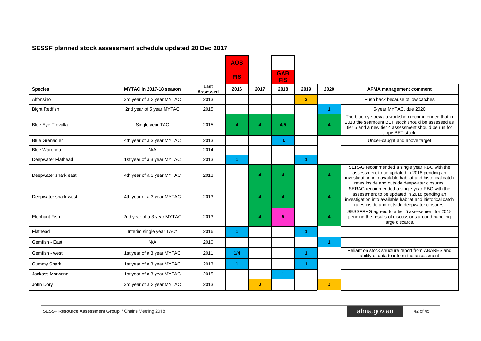### **SESSF planned stock assessment schedule updated 20 Dec 2017**

|                          |                            |                  | <b>AOS</b>           |                         |                          |                |                      |                                                                                                                                                                                                          |
|--------------------------|----------------------------|------------------|----------------------|-------------------------|--------------------------|----------------|----------------------|----------------------------------------------------------------------------------------------------------------------------------------------------------------------------------------------------------|
|                          |                            |                  | <b>FIS</b>           |                         | <b>GAB</b><br><b>FIS</b> |                |                      |                                                                                                                                                                                                          |
| <b>Species</b>           | MYTAC in 2017-18 season    | Last<br>Assessed | 2016                 | 2017                    | 2018                     | 2019           | 2020                 | <b>AFMA management comment</b>                                                                                                                                                                           |
| Alfonsino                | 3rd year of a 3 year MYTAC | 2013             |                      |                         |                          | 3 <sup>1</sup> |                      | Push back because of low catches                                                                                                                                                                         |
| <b>Bight Redfish</b>     | 2nd year of 5 year MYTAC   | 2015             |                      |                         |                          |                | $\blacktriangleleft$ | 5-year MYTAC, due 2020                                                                                                                                                                                   |
| <b>Blue Eye Trevalla</b> | Single year TAC            | 2015             | Δ                    | $\boldsymbol{A}$        | 4/5                      |                | Δ                    | The blue eye trevalla workshop recommended that in<br>2018 the seamount BET stock should be assessed as<br>tier 5 and a new tier 4 assessment should be run for<br>slope BET stock.                      |
| <b>Blue Grenadier</b>    | 4th year of a 3 year MYTAC | 2013             |                      |                         | $\blacktriangleleft$     |                |                      | Under-caught and above target                                                                                                                                                                            |
| <b>Blue Warehou</b>      | N/A                        | 2014             |                      |                         |                          |                |                      |                                                                                                                                                                                                          |
| Deepwater Flathead       | 1st year of a 3 year MYTAC | 2013             | $\blacktriangleleft$ |                         |                          | 1              |                      |                                                                                                                                                                                                          |
| Deepwater shark east     | 4th year of a 3 year MYTAC | 2013             |                      | Δ                       | Δ                        |                | 4                    | SERAG recommended a single year RBC with the<br>assessment to be updated in 2018 pending an<br>investigation into available habitat and historical catch<br>rates inside and outside deepwater closures. |
| Deepwater shark west     | 4th year of a 3 year MYTAC | 2013             |                      | 4                       | Δ                        |                | 4                    | SERAG recommended a single year RBC with the<br>assessment to be updated in 2018 pending an<br>investigation into available habitat and historical catch<br>rates inside and outside deepwater closures. |
| <b>Elephant Fish</b>     | 2nd year of a 3 year MYTAC | 2013             |                      | 4                       | 5 <sup>5</sup>           |                | 4                    | SESSFRAG agreed to a tier 5 assessment for 2018<br>pending the results of discussions around handling<br>large discards.                                                                                 |
| Flathead                 | Interim single year TAC*   | 2016             | -1.                  |                         |                          | 1              |                      |                                                                                                                                                                                                          |
| Gemfish - East           | N/A                        | 2010             |                      |                         |                          |                | 1                    |                                                                                                                                                                                                          |
| Gemfish - west           | 1st year of a 3 year MYTAC | 2011             | 1/4                  |                         |                          | 1              |                      | Reliant on stock structure report from ABARES and<br>ability of data to inform the assessment                                                                                                            |
| <b>Gummy Shark</b>       | 1st year of a 3 year MYTAC | 2013             | 1                    |                         |                          | -1             |                      |                                                                                                                                                                                                          |
| Jackass Morwong          | 1st year of a 3 year MYTAC | 2015             |                      |                         | $\blacktriangleleft$     |                |                      |                                                                                                                                                                                                          |
| John Dory                | 3rd year of a 3 year MYTAC | 2013             |                      | $\overline{\mathbf{3}}$ |                          |                | 3                    |                                                                                                                                                                                                          |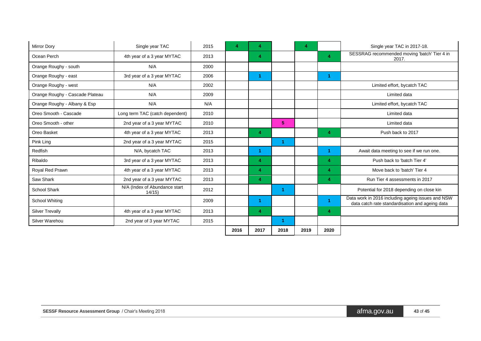| <b>Mirror Dory</b>              | Single year TAC                        | 2015 | 4    | Δ              |                | 4    |      | Single year TAC in 2017-18.                                                                          |
|---------------------------------|----------------------------------------|------|------|----------------|----------------|------|------|------------------------------------------------------------------------------------------------------|
| Ocean Perch                     | 4th year of a 3 year MYTAC             | 2013 |      | $\overline{4}$ |                |      | 4    | SESSRAG recommended moving 'batch' Tier 4 in<br>2017.                                                |
| Orange Roughy - south           | N/A                                    | 2000 |      |                |                |      |      |                                                                                                      |
| Orange Roughy - east            | 3rd year of a 3 year MYTAC             | 2006 |      |                |                |      |      |                                                                                                      |
| Orange Roughy - west            | N/A                                    | 2002 |      |                |                |      |      | Limited effort, bycatch TAC                                                                          |
| Orange Roughy - Cascade Plateau | N/A                                    | 2009 |      |                |                |      |      | Limited data                                                                                         |
| Orange Roughy - Albany & Esp    | N/A                                    | N/A  |      |                |                |      |      | Limited effort, bycatch TAC                                                                          |
| Oreo Smooth - Cascade           | Long term TAC (catch dependent)        | 2010 |      |                |                |      |      | Limited data                                                                                         |
| Oreo Smooth - other             | 2nd year of a 3 year MYTAC             | 2010 |      |                | 5 <sup>5</sup> |      |      | Limited data                                                                                         |
| Oreo Basket                     | 4th year of a 3 year MYTAC             | 2013 |      | 4              |                |      | 4    | Push back to 2017                                                                                    |
| Pink Ling                       | 2nd year of a 3 year MYTAC             | 2015 |      |                |                |      |      |                                                                                                      |
| Redfish                         | N/A, bycatch TAC                       | 2013 |      |                |                |      | -1   | Await data meeting to see if we run one.                                                             |
| Ribaldo                         | 3rd year of a 3 year MYTAC             | 2013 |      | 4              |                |      | 4    | Push back to 'batch Tier 4'                                                                          |
| Royal Red Prawn                 | 4th year of a 3 year MYTAC             | 2013 |      | 4              |                |      | 4    | Move back to 'batch' Tier 4                                                                          |
| Saw Shark                       | 2nd year of a 3 year MYTAC             | 2013 |      | 4              |                |      | 4    | Run Tier 4 assessments in 2017                                                                       |
| School Shark                    | N/A (Index of Abundance start<br>14/15 | 2012 |      |                |                |      |      | Potential for 2018 depending on close kin                                                            |
| <b>School Whiting</b>           |                                        | 2009 |      |                |                |      | 1    | Data work in 2016 including ageing issues and NSW<br>data catch rate standardisation and ageing data |
| <b>Silver Trevally</b>          | 4th year of a 3 year MYTAC             | 2013 |      | 4              |                |      | 4    |                                                                                                      |
| Silver Warehou                  | 2nd year of 3 year MYTAC               | 2015 |      |                |                |      |      |                                                                                                      |
|                                 |                                        |      | 2016 | 2017           | 2018           | 2019 | 2020 |                                                                                                      |